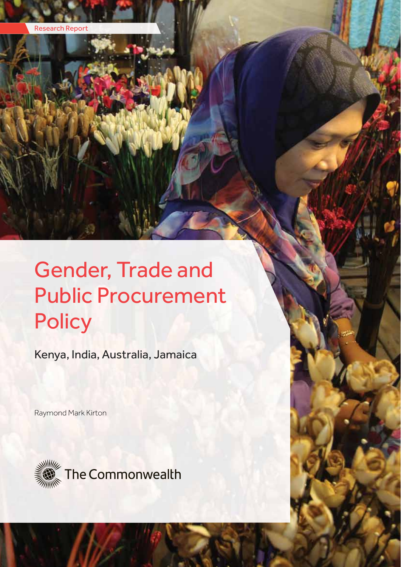# Gender, Trade and Public Procurement **Policy**

Kenya, India, Australia, Jamaica

Raymond Mark Kirton



The Commonwealth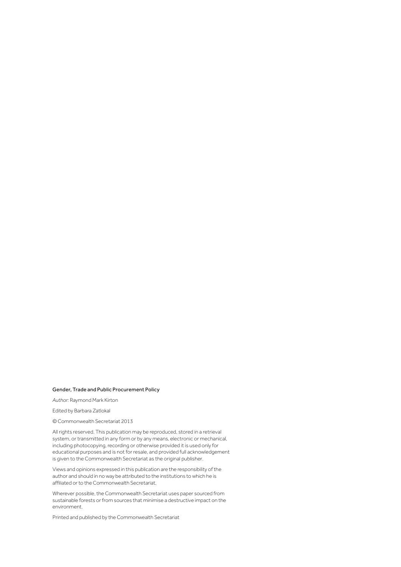#### Gender, Trade and Public Procurement Policy

*Author:* Raymond Mark Kirton

Edited by Barbara Zatlokal

© Commonwealth Secretariat 2013

All rights reserved. This publication may be reproduced, stored in a retrieval system, or transmitted in any form or by any means, electronic or mechanical, including photocopying, recording or otherwise provided it is used only for educational purposes and is not for resale, and provided full acknowledgement is given to the Commonwealth Secretariat as the original publisher.

Views and opinions expressed in this publication are the responsibility of the author and should in no way be attributed to the institutions to which he is affiliated or to the Commonwealth Secretariat.

Wherever possible, the Commonwealth Secretariat uses paper sourced from sustainable forests or from sources that minimise a destructive impact on the environment.

Printed and published by the Commonwealth Secretariat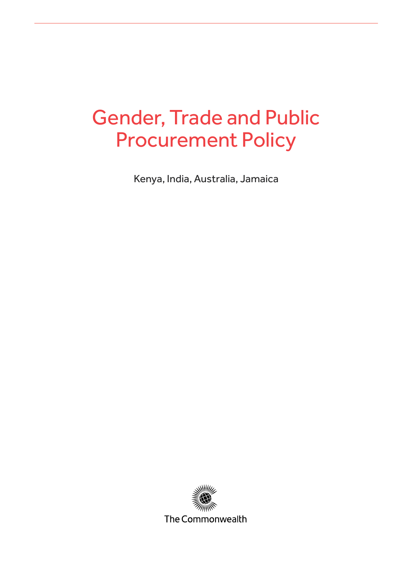# Gender, Trade and Public Procurement Policy

Kenya, India, Australia, Jamaica

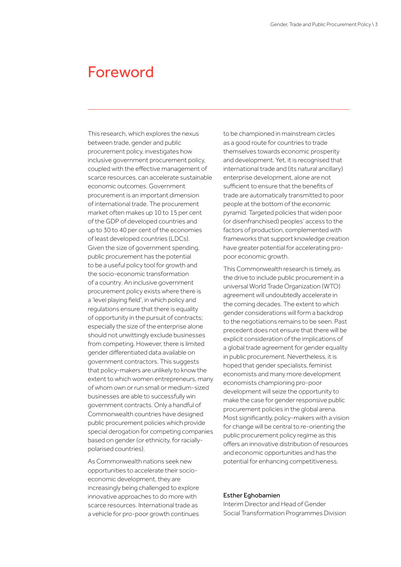## Foreword

This research, which explores the nexus between trade, gender and public procurement policy, investigates how inclusive government procurement policy, coupled with the effective management of scarce resources, can accelerate sustainable economic outcomes. Government procurement is an important dimension of international trade. The procurement market often makes up 10 to 15 per cent of the GDP of developed countries and up to 30 to 40 per cent of the economies of least developed countries (LDCs). Given the size of government spending, public procurement has the potential to be a useful policy tool for growth and the socio-economic transformation of a country. An inclusive government procurement policy exists where there is a 'level playing field', in which policy and regulations ensure that there is equality of opportunity in the pursuit of contracts; especially the size of the enterprise alone should not unwittingly exclude businesses from competing. However, there is limited gender differentiated data available on government contractors. This suggests that policy-makers are unlikely to know the extent to which women entrepreneurs, many of whom own or run small or medium-sized businesses are able to successfully win government contracts. Only a handful of Commonwealth countries have designed public procurement policies which provide special derogation for competing companies based on gender (or ethnicity, for raciallypolarised countries).

As Commonwealth nations seek new opportunities to accelerate their socioeconomic development, they are increasingly being challenged to explore innovative approaches to do more with scarce resources. International trade as a vehicle for pro-poor growth continues

to be championed in mainstream circles as a good route for countries to trade themselves towards economic prosperity and development. Yet, it is recognised that international trade and (its natural ancillary) enterprise development, alone are not sufficient to ensure that the benefits of trade are automatically transmitted to poor people at the bottom of the economic pyramid. Targeted policies that widen poor (or disenfranchised) peoples' access to the factors of production, complemented with frameworks that support knowledge creation have greater potential for accelerating propoor economic growth.

This Commonwealth research is timely, as the drive to include public procurement in a universal World Trade Organization (WTO) agreement will undoubtedly accelerate in the coming decades. The extent to which gender considerations will form a backdrop to the negotiations remains to be seen. Past precedent does not ensure that there will be explicit consideration of the implications of a global trade agreement for gender equality in public procurement. Nevertheless, it is hoped that gender specialists, feminist economists and many more development economists championing pro-poor development will seize the opportunity to make the case for gender responsive public procurement policies in the global arena. Most significantly, policy-makers with a vision for change will be central to re-orienting the public procurement policy regime as this offers an innovative distribution of resources and economic opportunities and has the potential for enhancing competitiveness.

#### Esther Eghobamien

Interim Director and Head of Gender Social Transformation Programmes Division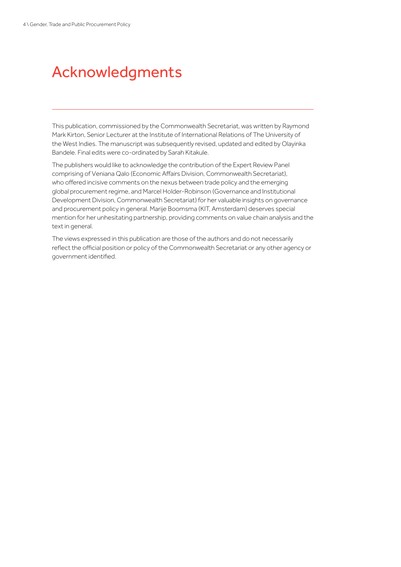## Acknowledgments

This publication, commissioned by the Commonwealth Secretariat, was written by Raymond Mark Kirton, Senior Lecturer at the Institute of International Relations of The University of the West Indies. The manuscript was subsequently revised, updated and edited by Olayinka Bandele. Final edits were co-ordinated by Sarah Kitakule.

The publishers would like to acknowledge the contribution of the Expert Review Panel comprising of Veniana Qalo (Economic Affairs Division, Commonwealth Secretariat), who offered incisive comments on the nexus between trade policy and the emerging global procurement regime, and Marcel Holder-Robinson (Governance and Institutional Development Division, Commonwealth Secretariat) for her valuable insights on governance and procurement policy in general. Marije Boomsma (KIT, Amsterdam) deserves special mention for her unhesitating partnership, providing comments on value chain analysis and the text in general.

The views expressed in this publication are those of the authors and do not necessarily reflect the official position or policy of the Commonwealth Secretariat or any other agency or government identified.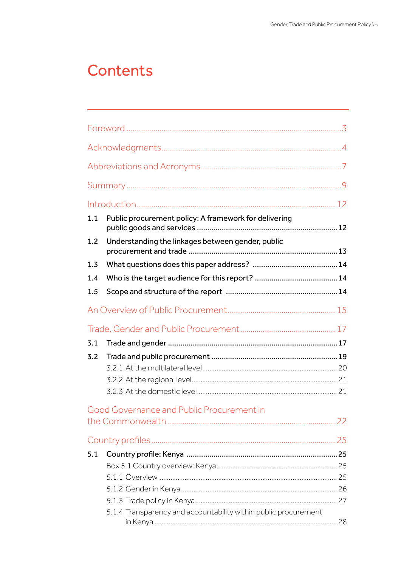## Contents

| 1.1 | Public procurement policy: A framework for delivering           |  |
|-----|-----------------------------------------------------------------|--|
| 1.2 | Understanding the linkages between gender, public               |  |
| 1.3 |                                                                 |  |
| 1.4 |                                                                 |  |
| 1.5 |                                                                 |  |
|     |                                                                 |  |
|     |                                                                 |  |
| 3.1 |                                                                 |  |
| 3.2 |                                                                 |  |
|     |                                                                 |  |
|     |                                                                 |  |
|     |                                                                 |  |
|     | Good Governance and Public Procurement in                       |  |
|     |                                                                 |  |
|     |                                                                 |  |
| 5.1 |                                                                 |  |
|     |                                                                 |  |
|     |                                                                 |  |
|     |                                                                 |  |
|     |                                                                 |  |
|     | 5.1.4 Transparency and accountability within public procurement |  |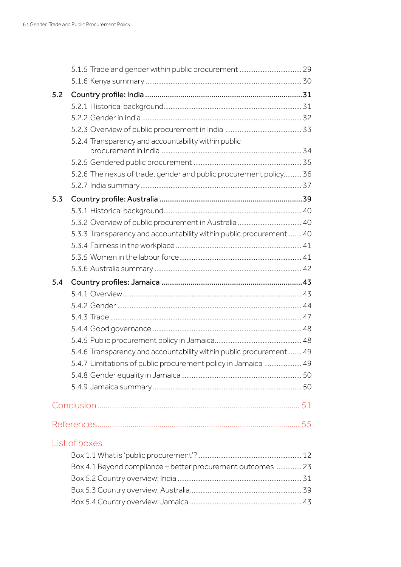| 5.2 |                                                                    |  |
|-----|--------------------------------------------------------------------|--|
|     |                                                                    |  |
|     |                                                                    |  |
|     |                                                                    |  |
|     | 5.2.4 Transparency and accountability within public                |  |
|     |                                                                    |  |
|     | 5.2.6 The nexus of trade, gender and public procurement policy 36  |  |
|     |                                                                    |  |
| 5.3 |                                                                    |  |
|     |                                                                    |  |
|     |                                                                    |  |
|     | 5.3.3 Transparency and accountability within public procurement 40 |  |
|     |                                                                    |  |
|     |                                                                    |  |
|     |                                                                    |  |
| 5.4 |                                                                    |  |
|     |                                                                    |  |
|     |                                                                    |  |
|     |                                                                    |  |
|     |                                                                    |  |
|     |                                                                    |  |
|     | 5.4.6 Transparency and accountability within public procurement 49 |  |
|     | 5.4.7 Limitations of public procurement policy in Jamaica  49      |  |
|     |                                                                    |  |
|     |                                                                    |  |
|     |                                                                    |  |
|     |                                                                    |  |
|     | List of boxes                                                      |  |
|     |                                                                    |  |
|     | Box 4.1 Beyond compliance - better procurement outcomes  23        |  |
|     |                                                                    |  |
|     |                                                                    |  |
|     |                                                                    |  |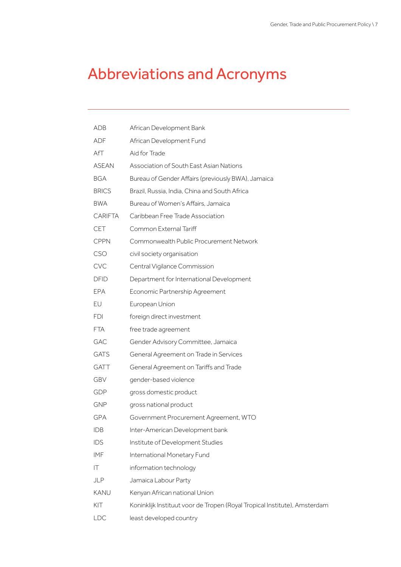## Abbreviations and Acronyms

| ADB          | African Development Bank                                                  |
|--------------|---------------------------------------------------------------------------|
| ADF          | African Development Fund                                                  |
| AfT          | Aid for Trade                                                             |
| <b>ASEAN</b> | Association of South East Asian Nations                                   |
| BGA          | Bureau of Gender Affairs (previously BWA), Jamaica                        |
| <b>BRICS</b> | Brazil, Russia, India, China and South Africa                             |
| <b>BWA</b>   | Bureau of Women's Affairs, Jamaica                                        |
| CARIFTA      | Caribbean Free Trade Association                                          |
| CET          | Common External Tariff                                                    |
| <b>CPPN</b>  | Commonwealth Public Procurement Network                                   |
| CSO          | civil society organisation                                                |
| <b>CVC</b>   | Central Vigilance Commission                                              |
| <b>DFID</b>  | Department for International Development                                  |
| EPA          | Economic Partnership Agreement                                            |
| EU           | European Union                                                            |
| FDI          | foreign direct investment                                                 |
| FTA          | free trade agreement                                                      |
| GAC          | Gender Advisory Committee, Jamaica                                        |
| GATS         | General Agreement on Trade in Services                                    |
| GATT         | General Agreement on Tariffs and Trade                                    |
| GBV          | gender-based violence                                                     |
| GDP          | gross domestic product                                                    |
| GNP          | gross national product                                                    |
| GPA          | Government Procurement Agreement, WTO                                     |
| <b>IDB</b>   | Inter-American Development bank                                           |
| <b>IDS</b>   | Institute of Development Studies                                          |
| <b>IMF</b>   | International Monetary Fund                                               |
| ΙT           | information technology                                                    |
| JLP          | Jamaica Labour Party                                                      |
| KANU         | Kenyan African national Union                                             |
| KIT          | Koninklijk Instituut voor de Tropen (Royal Tropical Institute), Amsterdam |
| LDC          | least developed country                                                   |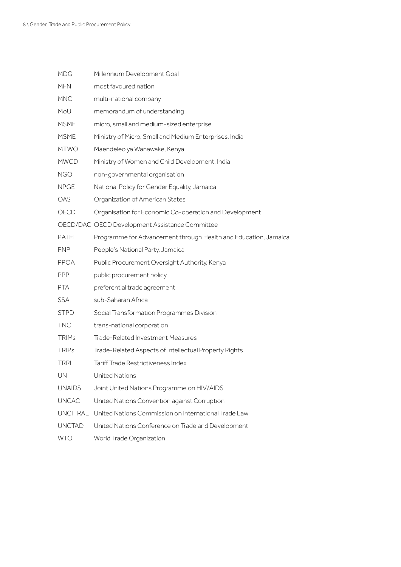| <b>MDG</b>      | Millennium Development Goal                                     |
|-----------------|-----------------------------------------------------------------|
| <b>MFN</b>      | most favoured nation                                            |
| <b>MNC</b>      | multi-national company                                          |
| MoU             | memorandum of understanding                                     |
| <b>MSME</b>     | micro, small and medium-sized enterprise                        |
| <b>MSME</b>     | Ministry of Micro, Small and Medium Enterprises, India          |
| <b>MTWO</b>     | Maendeleo ya Wanawake, Kenya                                    |
| <b>MWCD</b>     | Ministry of Women and Child Development, India                  |
| <b>NGO</b>      | non-governmental organisation                                   |
| <b>NPGE</b>     | National Policy for Gender Equality, Jamaica                    |
| <b>OAS</b>      | Organization of American States                                 |
| OECD            | Organisation for Economic Co-operation and Development          |
|                 | OECD/DAC OECD Development Assistance Committee                  |
| <b>PATH</b>     | Programme for Advancement through Health and Education, Jamaica |
| <b>PNP</b>      | People's National Party, Jamaica                                |
| <b>PPOA</b>     | Public Procurement Oversight Authority, Kenya                   |
| <b>PPP</b>      | public procurement policy                                       |
| <b>PTA</b>      | preferential trade agreement                                    |
| <b>SSA</b>      | sub-Saharan Africa                                              |
| <b>STPD</b>     | Social Transformation Programmes Division                       |
| <b>TNC</b>      | trans-national corporation                                      |
| <b>TRIMs</b>    | Trade-Related Investment Measures                               |
| <b>TRIPs</b>    | Trade-Related Aspects of Intellectual Property Rights           |
| <b>TRRI</b>     | <b>Tariff Trade Restrictiveness Index</b>                       |
| UN              | <b>United Nations</b>                                           |
| <b>UNAIDS</b>   | Joint United Nations Programme on HIV/AIDS                      |
| <b>UNCAC</b>    | United Nations Convention against Corruption                    |
| <b>UNCITRAL</b> | United Nations Commission on International Trade Law            |
| <b>UNCTAD</b>   | United Nations Conference on Trade and Development              |
| <b>WTO</b>      | World Trade Organization                                        |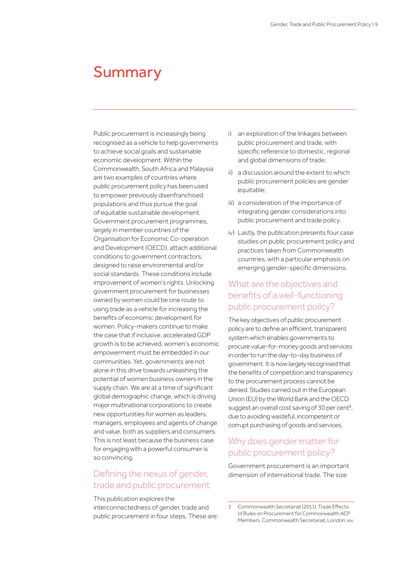## Summary

Public procurement is increasingly being recognised as a vehicle to help governments to achieve social goals and sustainable economic development. Within the Commonwealth, South Africa and Malaysia are two examples of countries where public procurement policy has been used to empower previously disenfranchised populations and thus pursue the goal of equitable sustainable development. Government procurement programmes, largely in member countries of the Organisation for Economic Co-operation and Development (OECD), attach additional conditions to government contractors, designed to raise environmental and/or social standards. These conditions include improvement of women's rights. Unlocking government procurement for businesses owned by women could be one route to using trade as a vehicle for increasing the benefits of economic development for women. Policy-makers continue to make the case that if inclusive, accelerated GDP growth is to be achieved, women's economic empowerment must be embedded in our communities. Yet, governments are not alone in this drive towards unleashing the potential of women business owners in the supply chain. We are at a time of significant global demographic change, which is driving major multinational corporations to create new opportunities for women as leaders, managers, employees and agents of change and value, both as suppliers and consumers. This is not least because the business case for engaging with a powerful consumer is so convincing.

## Defining the nexus of gender, trade and public procurement

This publication explores the interconnectedness of gender, trade and public procurement in four steps. These are:

- i) an exploration of the linkages between public procurement and trade, with specific reference to domestic, regional and global dimensions of trade;
- ii) a discussion around the extent to which public procurement policies are gender equitable;
- iii) a consideration of the importance of integrating gender considerations into public procurement and trade policy.
- iv) Lastly, the publication presents four case studies on public procurement policy and practices taken from Commonwealth countries, with a particular emphasis on emerging gender-specific dimensions.

## What are the objectives and benefits of a well-functioning public procurement policy?

The key objectives of public procurement policy are to define an efficient, transparent system which enables governments to procure value-for-money goods and services in order to run the day-to-day business of government. It is now largely recognised that the benefits of competition and transparency to the procurement process cannot be denied. Studies carried out in the European Union (EU) by the World Bank and the OECD suggest an overall cost saving of 30 per cent<sup>1</sup>, due to avoiding wasteful, incompetent or corrupt purchasing of goods and services.

## Why does gender matter for public procurement policy?

Government procurement is an important dimension of international trade. The size

<sup>1</sup> Commonwealth Secretariat (2011), Trade Effects of Rules on Procurement for Commonwealth ACP Members, Commonwealth Secretariat, London: xiv.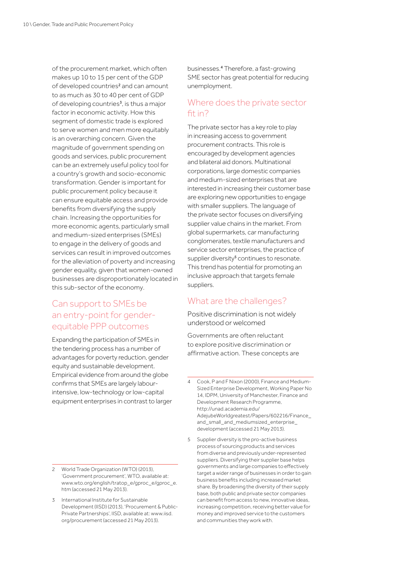of the procurement market, which often makes up 10 to 15 per cent of the GDP of developed countries<sup>2</sup> and can amount to as much as 30 to 40 per cent of GDP of developing countries<sup>3</sup>, is thus a major factor in economic activity. How this segment of domestic trade is explored to serve women and men more equitably is an overarching concern. Given the magnitude of government spending on goods and services, public procurement can be an extremely useful policy tool for a country's growth and socio-economic transformation. Gender is important for public procurement policy because it can ensure equitable access and provide benefits from diversifying the supply chain. Increasing the opportunities for more economic agents, particularly small and medium-sized enterprises (SMEs) to engage in the delivery of goods and services can result in improved outcomes for the alleviation of poverty and increasing gender equality, given that women-owned businesses are disproportionately located in this sub-sector of the economy.

## Can support to SMEs be an entry-point for genderequitable PPP outcomes

Expanding the participation of SMEs in the tendering process has a number of advantages for poverty reduction, gender equity and sustainable development. Empirical evidence from around the globe confirms that SMEs are largely labourintensive, low-technology or low-capital equipment enterprises in contrast to larger

2 World Trade Organization (WTO) (2013), 'Government procurement', WTO, available at: www.wto.org/english/tratop\_e/gproc\_e/gproc\_e. htm (accessed 21 May 2013).

3 International Institute for Sustainable Development (IISD) (2013), 'Procurement & Public-Private Partnerships', IISD, available at: www.iisd. org/procurement (accessed 21 May 2013).

businesses.<sup>4</sup> Therefore, a fast-growing SME sector has great potential for reducing unemployment.

### Where does the private sector fit in?

The private sector has a key role to play in increasing access to government procurement contracts. This role is encouraged by development agencies and bilateral aid donors. Multinational corporations, large domestic companies and medium-sized enterprises that are interested in increasing their customer base are exploring new opportunities to engage with smaller suppliers. The language of the private sector focuses on diversifying supplier value chains in the market. From global supermarkets, car manufacturing conglomerates, textile manufacturers and service sector enterprises, the practice of supplier diversity<sup>5</sup> continues to resonate. This trend has potential for promoting an inclusive approach that targets female suppliers.

### What are the challenges?

Positive discrimination is not widely understood or welcomed

Governments are often reluctant to explore positive discrimination or affirmative action. These concepts are

4 Cook, P and F Nixon (2000), Finance and Medium-Sized Enterprise Development, Working Paper No 14, IDPM, University of Manchester, Finance and Development Research Programme, http://unad.academia.edu/ AdejubeWorldgreatest/Papers/602216/Finance\_ and small and mediumsized enterprise development (accessed 21 May 2013).

5 Supplier diversity is the pro-active business process of sourcing products and services from diverse and previously under-represented suppliers. Diversifying their supplier base helps governments and large companies to effectively target a wider range of businesses in order to gain business benefits including increased market share. By broadening the diversity of their supply base, both public and private sector companies can benefit from access to new, innovative ideas, increasing competition, receiving better value for money and improved service to the customers and communities they work with.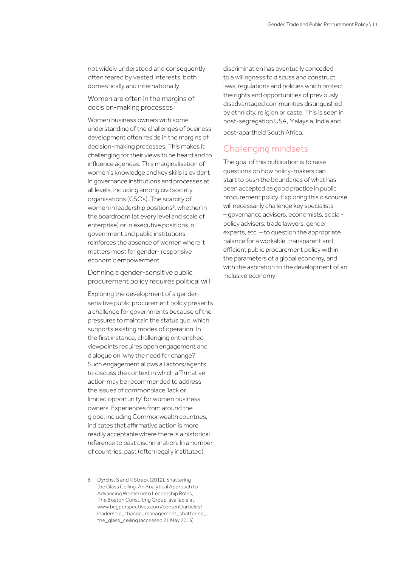not widely understood and consequently often feared by vested interests, both domestically and internationally.

Women are often in the margins of decision-making processes

Women business owners with some understanding of the challenges of business development often reside in the margins of decision-making processes. This makes it challenging for their views to be heard and to influence agendas. This marginalisation of women's knowledge and key skills is evident in governance institutions and processes at all levels, including among civil society organisations (CSOs). The scarcity of women in leadership positions<sup>6</sup>, whether in the boardroom (at every level and scale of enterprise) or in executive positions in government and public institutions, reinforces the absence of women where it matters most for gender- responsive economic empowerment.

Defining a gender-sensitive public procurement policy requires political will

Exploring the development of a gendersensitive public procurement policy presents a challenge for governments because of the pressures to maintain the status quo, which supports existing modes of operation. In the first instance, challenging entrenched viewpoints requires open engagement and dialogue on 'why the need for change?' Such engagement allows all actors/agents to discuss the context in which affirmative action may be recommended to address the issues of commonplace 'lack or limited opportunity' for women business owners. Experiences from around the globe, including Commonwealth countries, indicates that affirmative action is more readily acceptable where there is a historical reference to past discrimination. In a number of countries, past (often legally instituted)

discrimination has eventually conceded to a willingness to discuss and construct laws, regulations and policies which protect the rights and opportunities of previously disadvantaged communities distinguished by ethnicity, religion or caste. This is seen in post-segregation USA, Malaysia, India and post-apartheid South Africa.

### Challenging mindsets

The goal of this publication is to raise questions on how policy-makers can start to push the boundaries of what has been accepted as good practice in public procurement policy. Exploring this discourse will necessarily challenge key specialists – governance advisers, economists, socialpolicy advisers, trade lawyers, gender experts, etc. – to question the appropriate balance for a workable, transparent and efficient public procurement policy within the parameters of a global economy, and with the aspiration to the development of an inclusive economy.

<sup>6</sup> Dyrchs, S and R Strack (2012), Shattering the Glass Ceiling: An Analytical Approach to Advancing Women into Leadership Roles, The Boston Consulting Group, available at: www.bcgperspectives.com/content/articles/ leadership\_change\_management\_shattering\_ the\_glass\_ceiling (accessed 21 May 2013).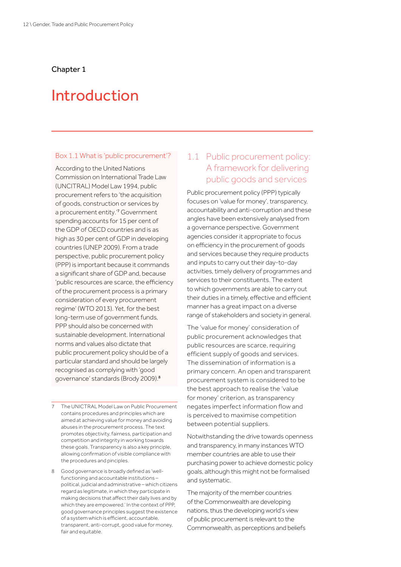#### Chapter 1

## Introduction

#### Box 1.1 What is 'public procurement'?

According to the United Nations Commission on International Trade Law (UNCITRAL) Model Law 1994, public procurement refers to 'the acquisition of goods, construction or services by a procurement entity.'<sup>7</sup> Government spending accounts for 15 per cent of the GDP of OECD countries and is as high as 30 per cent of GDP in developing countries (UNEP 2009). From a trade perspective, public procurement policy (PPP) is important because it commands a significant share of GDP and, because 'public resources are scarce, the efficiency of the procurement process is a primary consideration of every procurement regime' (WTO 2013). Yet, for the best long-term use of government funds, PPP should also be concerned with sustainable development. International norms and values also dictate that public procurement policy should be of a particular standard and should be largely recognised as complying with 'good governance' standards (Brody 2009).<sup>8</sup>

- 7 The UNICTRAL Model Law on Public Procurement contains procedures and principles which are aimed at achieving value for money and avoiding abuses in the procurement process. The text promotes objectivity, fairness, participation and competition and integrity in working towards these goals. Transparency is also a key principle, allowing confirmation of visible compliance with the procedures and pinciples.
- 8 Good governance is broadly defined as 'wellfunctioning and accountable institutions – political, judicial and administrative – which citizens regard as legitimate, in which they participate in making decisions that affect their daily lives and by which they are empowered.' In the context of PPP, good governance principles suggest the existence of a system which is efficient, accountable, transparent, anti-corrupt, good value for money, fair and equitable.

## 1.1 Public procurement policy: A framework for delivering public goods and services

Public procurement policy (PPP) typically focuses on 'value for money', transparency, accountability and anti-corruption and these angles have been extensively analysed from a governance perspective. Government agencies consider it appropriate to focus on efficiency in the procurement of goods and services because they require products and inputs to carry out their day-to-day activities, timely delivery of programmes and services to their constituents. The extent to which governments are able to carry out their duties in a timely, effective and efficient manner has a great impact on a diverse range of stakeholders and society in general.

The 'value for money' consideration of public procurement acknowledges that public resources are scarce, requiring efficient supply of goods and services. The dissemination of information is a primary concern. An open and transparent procurement system is considered to be the best approach to realise the 'value for money' criterion, as transparency negates imperfect information flow and is perceived to maximise competition between potential suppliers.

Notwithstanding the drive towards openness and transparency, in many instances WTO member countries are able to use their purchasing power to achieve domestic policy goals, although this might not be formalised and systematic.

The majority of the member countries of the Commonwealth are developing nations, thus the developing world's view of public procurement is relevant to the Commonwealth, as perceptions and beliefs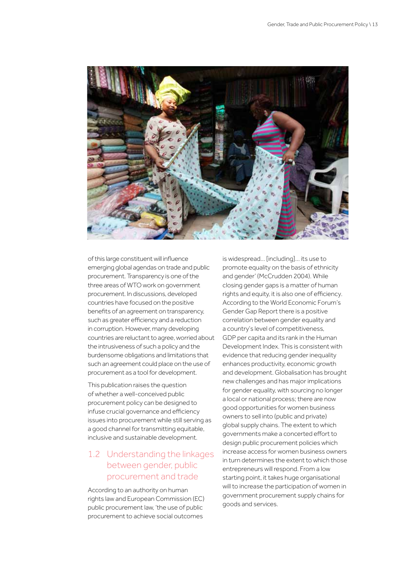

of this large constituent will influence emerging global agendas on trade and public procurement. Transparency is one of the three areas of WTO work on government procurement. In discussions, developed countries have focused on the positive benefits of an agreement on transparency, such as greater efficiency and a reduction in corruption. However, many developing countries are reluctant to agree, worried about the intrusiveness of such a policy and the burdensome obligations and limitations that such an agreement could place on the use of procurement as a tool for development.

This publication raises the question of whether a well-conceived public procurement policy can be designed to infuse crucial governance and efficiency issues into procurement while still serving as a good channel for transmitting equitable, inclusive and sustainable development.

## 1.2 Understanding the linkages between gender, public procurement and trade

According to an authority on human rights law and European Commission (EC) public procurement law, 'the use of public procurement to achieve social outcomes

is widespread... [including]… its use to promote equality on the basis of ethnicity and gender' (McCrudden 2004). While closing gender gaps is a matter of human rights and equity, it is also one of efficiency. According to the World Economic Forum's Gender Gap Report there is a positive correlation between gender equality and a country's level of competitiveness, GDP per capita and its rank in the Human Development Index. This is consistent with evidence that reducing gender inequality enhances productivity, economic growth and development. Globalisation has brought new challenges and has major implications for gender equality, with sourcing no longer a local or national process; there are now good opportunities for women business owners to sell into (public and private) global supply chains. The extent to which governments make a concerted effort to design public procurement policies which increase access for women business owners in turn determines the extent to which those entrepreneurs will respond. From a low starting point, it takes huge organisational will to increase the participation of women in government procurement supply chains for goods and services.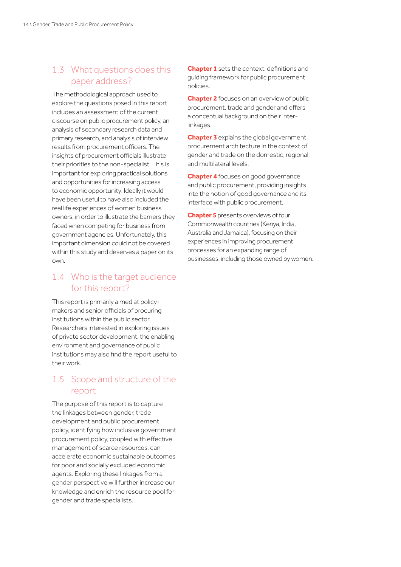## 1.3 What questions does this paper address?

The methodological approach used to explore the questions posed in this report includes an assessment of the current discourse on public procurement policy, an analysis of secondary research data and primary research, and analysis of interview results from procurement officers. The insights of procurement officials illustrate their priorities to the non-specialist. This is important for exploring practical solutions and opportunities for increasing access to economic opportunity. Ideally it would have been useful to have also included the real life experiences of women business owners, in order to illustrate the barriers they faced when competing for business from government agencies. Unfortunately, this important dimension could not be covered within this study and deserves a paper on its own.

### 1.4 Who is the target audience for this report?

This report is primarily aimed at policymakers and senior officials of procuring institutions within the public sector. Researchers interested in exploring issues of private sector development, the enabling environment and governance of public institutions may also find the report useful to their work.

## 1.5 Scope and structure of the report

The purpose of this report is to capture the linkages between gender, trade development and public procurement policy, identifying how inclusive government procurement policy, coupled with effective management of scarce resources, can accelerate economic sustainable outcomes for poor and socially excluded economic agents. Exploring these linkages from a gender perspective will further increase our knowledge and enrich the resource pool for gender and trade specialists.

**Chapter 1** sets the context, definitions and guiding framework for public procurement policies.

**Chapter 2** focuses on an overview of public procurement, trade and gender and offers a conceptual background on their interlinkages.

**Chapter 3** explains the global government procurement architecture in the context of gender and trade on the domestic, regional and multilateral levels.

**Chapter 4** focuses on good governance and public procurement, providing insights into the notion of good governance and its interface with public procurement.

**Chapter 5** presents overviews of four Commonwealth countries (Kenya, India, Australia and Jamaica), focusing on their experiences in improving procurement processes for an expanding range of businesses, including those owned by women.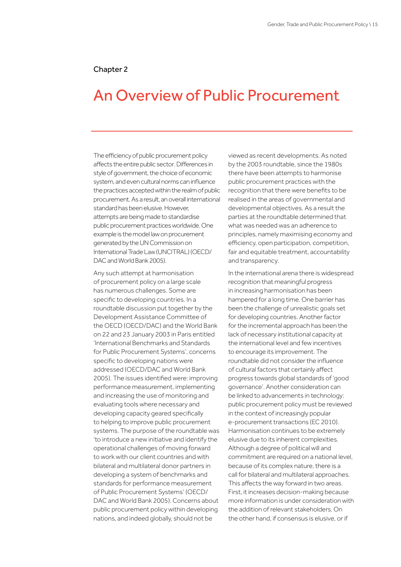## An Overview of Public Procurement

The efficiency of public procurement policy affects the entire public sector. Differences in style of government, the choice of economic system, and even cultural norms can influence the practices accepted within the realm of public procurement. As a result, an overall international standard has been elusive. However, attempts are being made to standardise public procurement practices worldwide. One example is the model law on procurement generated by the UN Commission on International Trade Law (UNCITRAL) (OECD/ DAC and World Bank 2005).

Any such attempt at harmonisation of procurement policy on a large scale has numerous challenges. Some are specific to developing countries. In a roundtable discussion put together by the Development Assistance Committee of the OECD (OECD/DAC) and the World Bank on 22 and 23 January 2003 in Paris entitled 'International Benchmarks and Standards for Public Procurement Systems', concerns specific to developing nations were addressed (OECD/DAC and World Bank 2005). The issues identified were: improving performance measurement, implementing and increasing the use of monitoring and evaluating tools where necessary and developing capacity geared specifically to helping to improve public procurement systems. The purpose of the roundtable was 'to introduce a new initiative and identify the operational challenges of moving forward to work with our client countries and with bilateral and multilateral donor partners in developing a system of benchmarks and standards for performance measurement of Public Procurement Systems' (OECD/ DAC and World Bank 2005). Concerns about public procurement policy within developing nations, and indeed globally, should not be

viewed as recent developments. As noted by the 2003 roundtable, since the 1980s there have been attempts to harmonise public procurement practices with the recognition that there were benefits to be realised in the areas of governmental and developmental objectives. As a result the parties at the roundtable determined that what was needed was an adherence to principles, namely maximising economy and efficiency, open participation, competition, fair and equitable treatment, accountability and transparency.

In the international arena there is widespread recognition that meaningful progress in increasing harmonisation has been hampered for a long time. One barrier has been the challenge of unrealistic goals set for developing countries. Another factor for the incremental approach has been the lack of necessary institutional capacity at the international level and few incentives to encourage its improvement. The roundtable did not consider the influence of cultural factors that certainly affect progress towards global standards of 'good governance'. Another consideration can be linked to advancements in technology: public procurement policy must be reviewed in the context of increasingly popular e-procurement transactions (EC 2010). Harmonisation continues to be extremely elusive due to its inherent complexities. Although a degree of political will and commitment are required on a national level, because of its complex nature, there is a call for bilateral and multilateral approaches. This affects the way forward in two areas. First, it increases decision-making because more information is under consideration with the addition of relevant stakeholders. On the other hand, if consensus is elusive, or if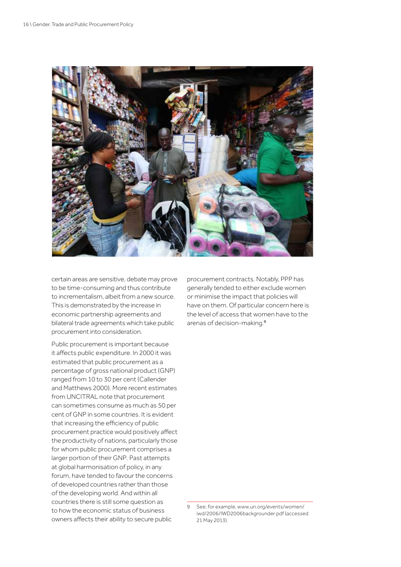

certain areas are sensitive, debate may prove to be time-consuming and thus contribute to incrementalism, albeit from a new source. This is demonstrated by the increase in economic partnership agreements and bilateral trade agreements which take public procurement into consideration.

Public procurement is important because it affects public expenditure. In 2000 it was estimated that public procurement as a percentage of gross national product (GNP) ranged from 10 to 30 per cent (Callender and Matthews 2000). More recent estimates from UNCITRAL note that procurement can sometimes consume as much as 50 per cent of GNP in some countries. It is evident that increasing the efficiency of public procurement practice would positively affect the productivity of nations, particularly those for whom public procurement comprises a larger portion of their GNP. Past attempts at global harmonisation of policy, in any forum, have tended to favour the concerns of developed countries rather than those of the developing world. And within all countries there is still some question as to how the economic status of business owners affects their ability to secure public

procurement contracts. Notably, PPP has generally tended to either exclude women or minimise the impact that policies will have on them. Of particular concern here is the level of access that women have to the arenas of decision-making.<sup>9</sup>

<sup>9</sup> See, for example, www.un.org/events/women/ iwd/2006/IWD2006backgrounder.pdf (accessed 21 May 2013).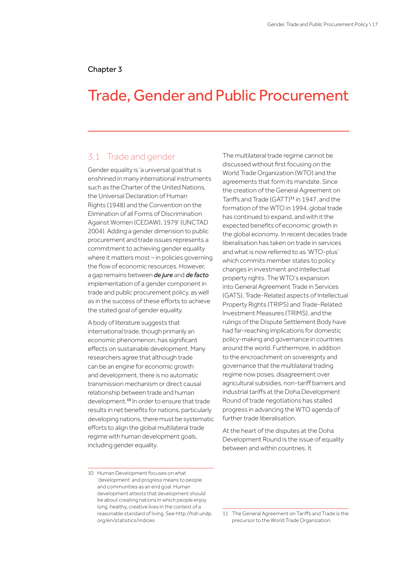## Trade, Gender and Public Procurement

#### 3.1 Trade and gender

Gender equality is 'a universal goal that is enshrined in many international instruments such as the Charter of the United Nations, the Universal Declaration of Human Rights (1948) and the Convention on the Elimination of all Forms of Discrimination Against Women (CEDAW), 1979' (UNCTAD 2004). Adding a gender dimension to public procurement and trade issues represents a commitment to achieving gender equality where it matters most – in policies governing the flow of economic resources. However, a gap remains between *de jure* and *de facto* implementation of a gender component in trade and public procurement policy, as well as in the success of these efforts to achieve the stated goal of gender equality.

A body of literature suggests that international trade, though primarily an economic phenomenon, has significant effects on sustainable development. Many researchers agree that although trade can be an engine for economic growth and development, there is no automatic transmission mechanism or direct causal relationship between trade and human development.<sup>10</sup> In order to ensure that trade results in net benefits for nations, particularly developing nations, there must be systematic efforts to align the global multilateral trade regime with human development goals, including gender equality.

The multilateral trade regime cannot be discussed without first focusing on the World Trade Organization (WTO) and the agreements that form its mandate. Since the creation of the General Agreement on Tariffs and Trade (GATT)<sup>11</sup> in 1947, and the formation of the WTO in 1994, global trade has continued to expand, and with it the expected benefits of economic growth in the global economy. In recent decades trade liberalisation has taken on trade in services and what is now referred to as 'WTO-plus' which commits member states to policy changes in investment and intellectual property rights. The WTO's expansion into General Agreement Trade in Services (GATS), Trade-Related aspects of Intellectual Property Rights (TRIPS) and Trade-Related Investment Measures (TRIMS), and the rulings of the Dispute Settlement Body have had far-reaching implications for domestic policy-making and governance in countries around the world. Furthermore, in addition to the encroachment on sovereignty and governance that the multilateral trading regime now poses, disagreement over agricultural subsidies, non-tariff barriers and industrial tariffs at the Doha Development Round of trade negotiations has stalled progress in advancing the WTO agenda of further trade liberalisation.

At the heart of the disputes at the Doha Development Round is the issue of equality between and within countries. It

<sup>10</sup> Human Development focuses on what 'development' and progress means to people and communities as an end goal. Human development attests that development should be about creating nations in which people enjoy long, healthy, creative lives in the context of a reasonable standard of living. See http://hdr.undp. org/en/statistics/indices

<sup>11</sup> The General Agreement on Tariffs and Trade is the precursor to the World Trade Organization.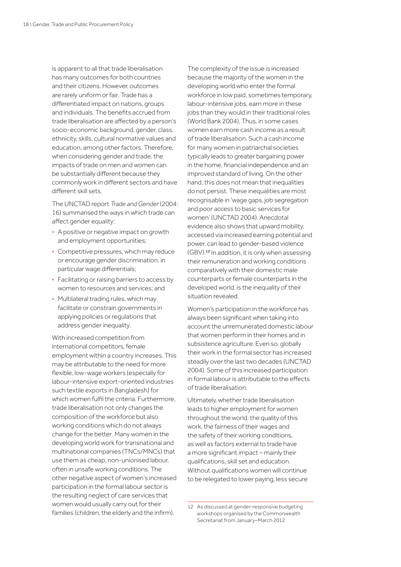is apparent to all that trade liberalisation has many outcomes for both countries and their citizens. However, outcomes are rarely uniform or fair. Trade has a differentiated impact on nations, groups and individuals. The benefits accrued from trade liberalisation are affected by a person's socio-economic background, gender, class, ethnicity, skills, cultural normative values and education, among other factors. Therefore, when considering gender and trade, the impacts of trade on men and women can be substantially different because they commonly work in different sectors and have different skill sets.

The UNCTAD report *Trade and Gender* (2004: 16) summarised the ways in which trade can affect gender equality:

- A positive or negative impact on growth and employment opportunities;
- Competitive pressures, which may reduce or encourage gender discrimination, in particular wage differentials;
- Facilitating or raising barriers to access by women to resources and services; and
- Multilateral trading rules, which may facilitate or constrain governments in applying policies or regulations that address gender inequality.

With increased competition from international competitors, female employment within a country increases. This may be attributable to the need for more flexible, low-wage workers (especially for labour-intensive export-oriented industries such textile exports in Bangladesh) for which women fulfil the criteria. Furthermore, trade liberalisation not only changes the composition of the workforce but also working conditions which do not always change for the better. Many women in the developing world work for transnational and multinational companies (TNCs/MNCs) that use them as cheap, non-unionised labour, often in unsafe working conditions. The other negative aspect of women's increased participation in the formal labour sector is the resulting neglect of care services that women would usually carry out for their families (children, the elderly and the infirm).

The complexity of the issue is increased because the majority of the women in the developing world who enter the formal workforce in low paid, sometimes temporary, labour-intensive jobs, earn more in these jobs than they would in their traditional roles (World Bank 2004). Thus, in some cases women earn more cash income as a result of trade liberalisation. Such a cash income for many women in patriarchal societies typically leads to greater bargaining power in the home, financial independence and an improved standard of living. On the other hand, this does not mean that inequalities do not persist. These inequalities are most recognisable in 'wage gaps, job segregation and poor access to basic services for women' (UNCTAD 2004). Anecdotal evidence also shows that upward mobility, accessed via increased earning potential and power, can lead to gender-based violence (GBV).<sup>12</sup> In addition, it is only when assessing their remuneration and working conditions comparatively with their domestic male counterparts or female counterparts in the developed world, is the inequality of their situation revealed.

Women's participation in the workforce has always been significant when taking into account the unremunerated domestic labour that women perform in their homes and in subsistence agriculture. Even so, globally their work in the formal sector has increased steadily over the last two decades (UNCTAD 2004). Some of this increased participation in formal labour is attributable to the effects of trade liberalisation.

Ultimately, whether trade liberalisation leads to higher employment for women throughout the world, the quality of this work, the fairness of their wages and the safety of their working conditions, as well as factors external to trade have a more significant impact – mainly their qualifications, skill set and education. Without qualifications women will continue to be relegated to lower paying, less secure

<sup>12</sup> As discussed at gender-responsive budgeting workshops organised by the Commonwealth Secretariat from January–March 2012.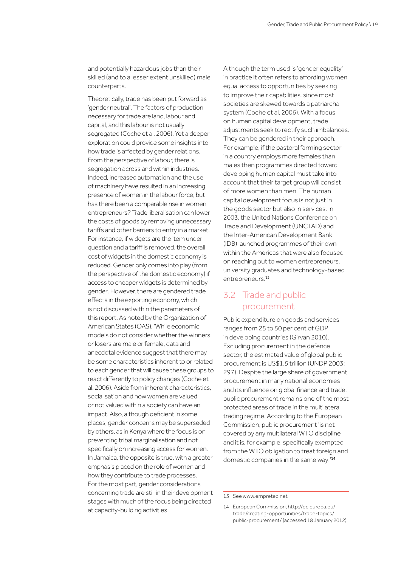and potentially hazardous jobs than their skilled (and to a lesser extent unskilled) male counterparts.

Theoretically, trade has been put forward as 'gender neutral'. The factors of production necessary for trade are land, labour and capital, and this labour is not usually segregated (Coche et al. 2006). Yet a deeper exploration could provide some insights into how trade is affected by gender relations. From the perspective of labour, there is segregation across and within industries. Indeed, increased automation and the use of machinery have resulted in an increasing presence of women in the labour force, but has there been a comparable rise in women entrepreneurs? Trade liberalisation can lower the costs of goods by removing unnecessary tariffs and other barriers to entry in a market. For instance, if widgets are the item under question and a tariff is removed, the overall cost of widgets in the domestic economy is reduced. Gender only comes into play (from the perspective of the domestic economy) if access to cheaper widgets is determined by gender. However, there are gendered trade effects in the exporting economy, which is not discussed within the parameters of this report. As noted by the Organization of American States (OAS), 'While economic models do not consider whether the winners or losers are male or female, data and anecdotal evidence suggest that there may be some characteristics inherent to or related to each gender that will cause these groups to react differently to policy changes (Coche et al. 2006). Aside from inherent characteristics, socialisation and how women are valued or not valued within a society can have an impact. Also, although deficient in some places, gender concerns may be superseded by others, as in Kenya where the focus is on preventing tribal marginalisation and not specifically on increasing access for women. In Jamaica, the opposite is true, with a greater emphasis placed on the role of women and how they contribute to trade processes. For the most part, gender considerations concerning trade are still in their development stages with much of the focus being directed at capacity-building activities.

Although the term used is 'gender equality' in practice it often refers to affording women equal access to opportunities by seeking to improve their capabilities, since most societies are skewed towards a patriarchal system (Coche et al. 2006). With a focus on human capital development, trade adjustments seek to rectify such imbalances. They can be gendered in their approach. For example, if the pastoral farming sector in a country employs more females than males then programmes directed toward developing human capital must take into account that their target group will consist of more women than men. The human capital development focus is not just in the goods sector but also in services. In 2003, the United Nations Conference on Trade and Development (UNCTAD) and the Inter-American Development Bank (IDB) launched programmes of their own within the Americas that were also focused on reaching out to women entrepreneurs, university graduates and technology-based entrepreneurs.<sup>13</sup>

### 3.2 Trade and public procurement

Public expenditure on goods and services ranges from 25 to 50 per cent of GDP in developing countries (Girvan 2010). Excluding procurement in the defence sector, the estimated value of global public procurement is US\$1.5 trillion (UNDP 2003: 297). Despite the large share of government procurement in many national economies and its influence on global finance and trade, public procurement remains one of the most protected areas of trade in the multilateral trading regime. According to the European Commission, public procurement 'is not covered by any multilateral WTO discipline and it is, for example, specifically exempted from the WTO obligation to treat foreign and domestic companies in the same way.'<sup>14</sup>

13 See www.empretec.net

<sup>14</sup> European Commission, http://ec.europa.eu/ trade/creating-opportunities/trade-topics/ public-procurement/ (accessed 18 January 2012).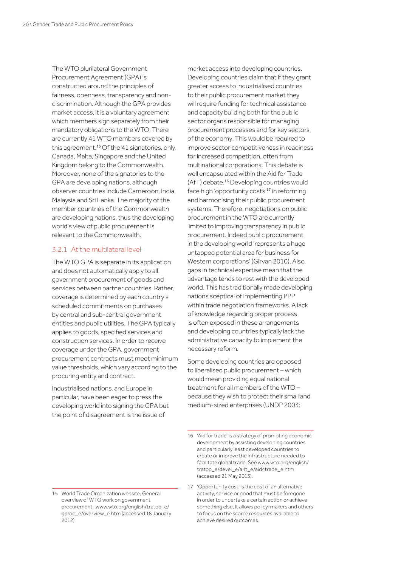The WTO plurilateral Government Procurement Agreement (GPA) is constructed around the principles of fairness, openness, transparency and nondiscrimination. Although the GPA provides market access, it is a voluntary agreement which members sign separately from their mandatory obligations to the WTO. There are currently 41 WTO members covered by this agreement.<sup>15</sup> Of the 41 signatories, only, Canada, Malta, Singapore and the United Kingdom belong to the Commonwealth. Moreover, none of the signatories to the GPA are developing nations, although observer countries include Cameroon, India, Malaysia and Sri Lanka. The majority of the member countries of the Commonwealth are developing nations, thus the developing world's view of public procurement is relevant to the Commonwealth.

#### 3.2.1 At the multilateral level

The WTO GPA is separate in its application and does not automatically apply to all government procurement of goods and services between partner countries. Rather, coverage is determined by each country's scheduled commitments on purchases by central and sub-central government entities and public utilities. The GPA typically applies to goods, specified services and construction services. In order to receive coverage under the GPA, government procurement contracts must meet minimum value thresholds, which vary according to the procuring entity and contract.

Industrialised nations, and Europe in particular, have been eager to press the developing world into signing the GPA but the point of disagreement is the issue of

market access into developing countries. Developing countries claim that if they grant greater access to industrialised countries to their public procurement market they will require funding for technical assistance and capacity building both for the public sector organs responsible for managing procurement processes and for key sectors of the economy. This would be required to improve sector competitiveness in readiness for increased competition, often from multinational corporations. This debate is well encapsulated within the Aid for Trade (AfT) debate.<sup>16</sup> Developing countries would face high 'opportunity costs'<sup>17</sup> in reforming and harmonising their public procurement systems. Therefore, negotiations on public procurement in the WTO are currently limited to improving transparency in public procurement. Indeed public procurement in the developing world 'represents a huge untapped potential area for business for Western corporations' (Girvan 2010). Also, gaps in technical expertise mean that the advantage tends to rest with the developed world. This has traditionally made developing nations sceptical of implementing PPP within trade negotiation frameworks. A lack of knowledge regarding proper process is often exposed in these arrangements and developing countries typically lack the administrative capacity to implement the necessary reform.

Some developing countries are opposed to liberalised public procurement – which would mean providing equal national treatment for all members of the WTO – because they wish to protect their small and medium-sized enterprises (UNDP 2003:

17 'Opportunity cost' is the cost of an alternative activity, service or good that must be foregone in order to undertake a certain action or achieve something else. It allows policy-makers and others to focus on the scarce resources available to achieve desired outcomes.

<sup>16</sup> 'Aid for trade' is a strategy of promoting economic development by assisting developing countries and particularly least developed countries to create or improve the infrastructure needed to facilitate global trade. See www.wto.org/english/ tratop\_e/devel\_e/a4t\_e/aid4trade\_e.htm (accessed 21 May 2013).

<sup>15</sup> World Trade Organization website, General overview of WTO work on government procurement, ,www.wto.org/english/tratop\_e/ gproc\_e/overview\_e.htm (accessed 18 January 2012).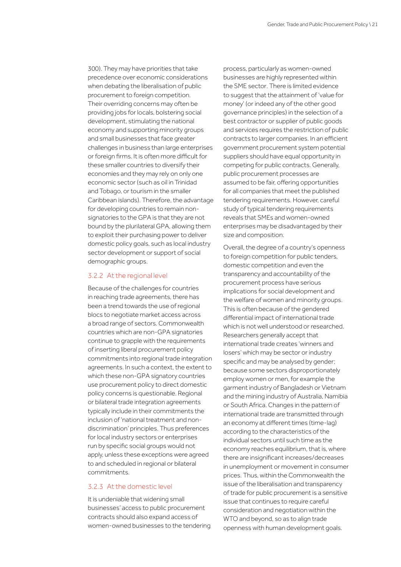300). They may have priorities that take precedence over economic considerations when debating the liberalisation of public procurement to foreign competition. Their overriding concerns may often be providing jobs for locals, bolstering social development, stimulating the national economy and supporting minority groups and small businesses that face greater challenges in business than large enterprises or foreign firms. It is often more difficult for these smaller countries to diversify their economies and they may rely on only one economic sector (such as oil in Trinidad and Tobago, or tourism in the smaller Caribbean islands). Therefore, the advantage for developing countries to remain nonsignatories to the GPA is that they are not bound by the plurilateral GPA, allowing them to exploit their purchasing power to deliver domestic policy goals, such as local industry sector development or support of social demographic groups.

#### 3.2.2 At the regional level

Because of the challenges for countries in reaching trade agreements, there has been a trend towards the use of regional blocs to negotiate market access across a broad range of sectors. Commonwealth countries which are non-GPA signatories continue to grapple with the requirements of inserting liberal procurement policy commitments into regional trade integration agreements. In such a context, the extent to which these non-GPA signatory countries use procurement policy to direct domestic policy concerns is questionable. Regional or bilateral trade integration agreements typically include in their commitments the inclusion of 'national treatment and nondiscrimination' principles. Thus preferences for local industry sectors or enterprises run by specific social groups would not apply, unless these exceptions were agreed to and scheduled in regional or bilateral commitments.

#### 3.2.3 At the domestic level

It is undeniable that widening small businesses' access to public procurement contracts should also expand access of women-owned businesses to the tendering process, particularly as women-owned businesses are highly represented within the SME sector. There is limited evidence to suggest that the attainment of 'value for money' (or indeed any of the other good governance principles) in the selection of a best contractor or supplier of public goods and services requires the restriction of public contracts to larger companies. In an efficient government procurement system potential suppliers should have equal opportunity in competing for public contracts. Generally, public procurement processes are assumed to be fair, offering opportunities for all companies that meet the published tendering requirements. However, careful study of typical tendering requirements reveals that SMEs and women-owned enterprises may be disadvantaged by their size and composition.

Overall, the degree of a country's openness to foreign competition for public tenders, domestic competition and even the transparency and accountability of the procurement process have serious implications for social development and the welfare of women and minority groups. This is often because of the gendered differential impact of international trade which is not well understood or researched. Researchers generally accept that international trade creates 'winners and losers' which may be sector or industry specific and may be analysed by gender; because some sectors disproportionately employ women or men, for example the garment industry of Bangladesh or Vietnam and the mining industry of Australia, Namibia or South Africa. Changes in the pattern of international trade are transmitted through an economy at different times (time-lag) according to the characteristics of the individual sectors until such time as the economy reaches equilibrium, that is, where there are insignificant increases/decreases in unemployment or movement in consumer prices. Thus, within the Commonwealth the issue of the liberalisation and transparency of trade for public procurement is a sensitive issue that continues to require careful consideration and negotiation within the WTO and beyond, so as to align trade openness with human development goals.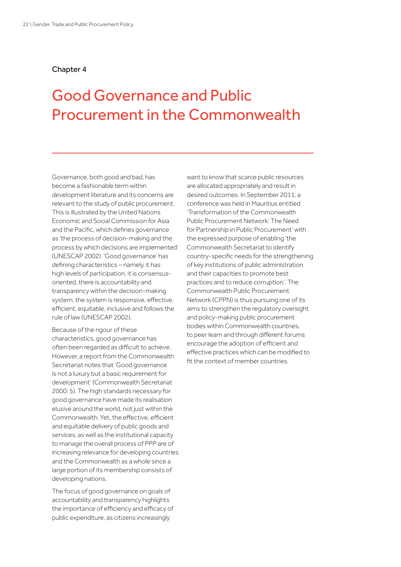#### Chapter 4

## Good Governance and Public Procurement in the Commonwealth

Governance, both good and bad, has become a fashionable term within development literature and its concerns are relevant to the study of public procurement. This is illustrated by the United Nations Economic and Social Commission for Asia and the Pacific, which defines governance as 'the process of decision-making and the process by which decisions are implemented' (UNESCAP 2002). 'Good governance' has defining characteristics – namely, it has high levels of participation, it is consensusoriented, there is accountability and transparency within the decision-making system, the system is responsive, effective, efficient, equitable, inclusive and follows the rule of law (UNESCAP 2002).

Because of the rigour of these characteristics, good governance has often been regarded as difficult to achieve. However, a report from the Commonwealth Secretariat notes that 'Good governance is not a luxury but a basic requirement for development' (Commonwealth Secretariat 2000: 5). The high standards necessary for good governance have made its realisation elusive around the world, not just within the Commonwealth. Yet, the effective, efficient and equitable delivery of public goods and services, as well as the institutional capacity to manage the overall process of PPP are of increasing relevance for developing countries and the Commonwealth as a whole since a large portion of its membership consists of developing nations.

The focus of good governance on goals of accountability and transparency highlights the importance of efficiency and efficacy of public expenditure, as citizens increasingly

want to know that scarce public resources are allocated appropriately and result in desired outcomes. In September 2011, a conference was held in Mauritius entitled 'Transformation of the Commonwealth Public Procurement Network: The Need for Partnership in Public Procurement' with the expressed purpose of enabling 'the Commonwealth Secretariat to identify country-specific needs for the strengthening of key institutions of public administration and their capacities to promote best practices and to reduce corruption'. The Commonwealth Public Procurement Network (CPPN) is thus pursuing one of its aims to strengthen the regulatory oversight and policy-making public procurement bodies within Commonwealth countries, to peer learn and through different forums encourage the adoption of efficient and effective practices which can be modified to fit the context of member countries.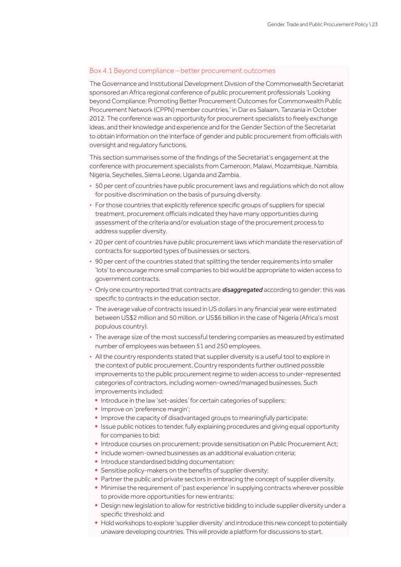#### Box 4.1 Beyond compliance – better procurement outcomes

The Governance and Institutional Development Division of the Commonwealth Secretariat sponsored an Africa regional conference of public procurement professionals 'Looking beyond Compliance: Promoting Better Procurement Outcomes for Commonwealth Public Procurement Network (CPPN) member countries,' in Dar es Salaam, Tanzania in October 2012. The conference was an opportunity for procurement specialists to freely exchange ideas, and their knowledge and experience and for the Gender Section of the Secretariat to obtain information on the interface of gender and public procurement from officials with oversight and regulatory functions.

This section summarises some of the findings of the Secretariat's engagement at the conference with procurement specialists from Cameroon, Malawi, Mozambique, Namibia, Nigeria, Seychelles, Sierra Leone, Uganda and Zambia.

- 50 per cent of countries have public procurement laws and regulations which do not allow for positive discrimination on the basis of pursuing diversity.
- For those countries that explicitly reference specific groups of suppliers for special treatment, procurement officials indicated they have many opportunities during assessment of the criteria and/or evaluation stage of the procurement process to address supplier diversity.
- 20 per cent of countries have public procurement laws which mandate the reservation of contracts for supported types of businesses or sectors.
- 90 per cent of the countries stated that splitting the tender requirements into smaller 'lots' to encourage more small companies to bid would be appropriate to widen access to government contracts.
- Only one country reported that contracts are *disaggregated* according to gender; this was specific to contracts in the education sector.
- The average value of contracts issued in US dollars in any financial year were estimated between US\$2 million and 50 million, or US\$6 billion in the case of Nigeria (Africa's most populous country).
- The average size of the most successful tendering companies as measured by estimated number of employees was between 51 and 250 employees.
- All the country respondents stated that supplier diversity is a useful tool to explore in the context of public procurement. Country respondents further outlined possible improvements to the public procurement regime to widen access to under-represented categories of contractors, including women-owned/managed businesses. Such improvements included:
	- $\bullet$  Introduce in the law 'set-asides' for certain categories of suppliers;
	- Improve on 'preference margin';
	- Improve the capacity of disadvantaged groups to meaningfully participate;
	- **ISSUE public notices to tender, fully explaining procedures and giving equal opportunity** for companies to bid;
	- Introduce courses on procurement; provide sensitisation on Public Procurement Act;
	- Include women-owned businesses as an additional evaluation criteria;
	- Introduce standardised bidding documentation;
	- Sensitise policy-makers on the benefits of supplier diversity;
	- Partner the public and private sectors in embracing the concept of supplier diversity.
	- Minimise the requirement of 'past experience' in supplying contracts wherever possible to provide more opportunities for new entrants;
	- Design new legislation to allow for restrictive bidding to include supplier diversity under a specific threshold; and
	- Hold workshops to explore 'supplier diversity' and introduce this new concept to potentially unaware developing countries. This will provide a platform for discussions to start.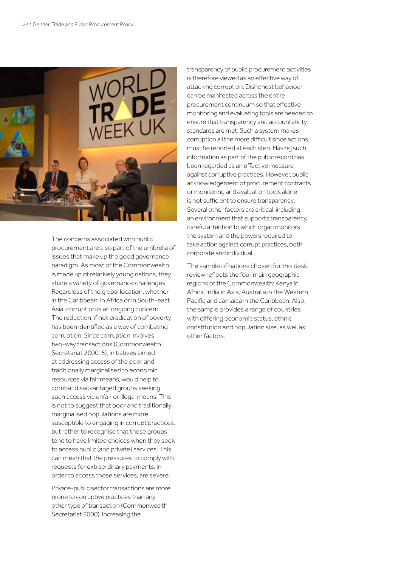

The concerns associated with public procurement are also part of the umbrella of issues that make up the good governance paradigm. As most of the Commonwealth is made up of relatively young nations, they share a variety of governance challenges. Regardless of the global location, whether in the Caribbean, in Africa or in South-east Asia, corruption is an ongoing concern. The reduction, if not eradication of poverty has been identified as a way of combating corruption. Since corruption involves two-way transactions (Commonwealth Secretariat 2000: 5), initiatives aimed at addressing access of the poor and traditionally marginalised to economic resources via fair means, would help to combat disadvantaged groups seeking such access via unfair or illegal means. This is not to suggest that poor and traditionally marginalised populations are more susceptible to engaging in corrupt practices, but rather to recognise that these groups tend to have limited choices when they seek to access public (and private) services. This can mean that the pressures to comply with requests for extraordinary payments, in order to access those services, are severe.

Private-public sector transactions are more prone to corruptive practices than any other type of transaction (Commonwealth Secretariat 2000). Increasing the

transparency of public procurement activities is therefore viewed as an effective way of attacking corruption. Dishonest behaviour can be manifested across the entire procurement continuum so that effective monitoring and evaluating tools are needed to ensure that transparency and accountability standards are met. Such a system makes corruption all the more difficult since actions must be reported at each step. Having such information as part of the public record has been regarded as an effective measure against corruptive practices. However, public acknowledgement of procurement contracts or monitoring and evaluation tools alone is not sufficient to ensure transparency. Several other factors are critical, including an environment that supports transparency, careful attention to which organ monitors the system and the powers required to take action against corrupt practices, both corporate and individual.

The sample of nations chosen for this desk review reflects the four main geographic regions of the Commonwealth: Kenya in Africa, India in Asia, Australia in the Western Pacific and Jamaica in the Caribbean. Also, the sample provides a range of countries with differing economic status, ethnic constitution and population size, as well as other factors.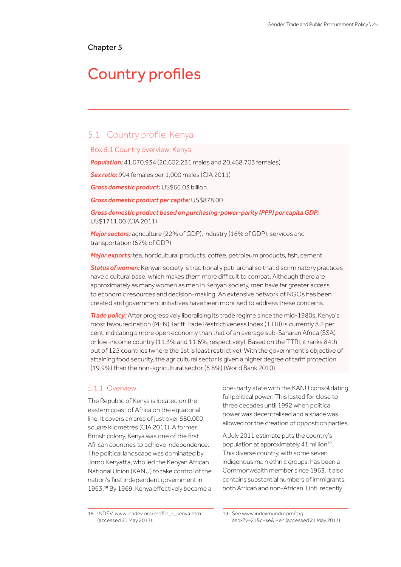Chapter 5

## Country profiles

### 5.1 Country profile: Kenya

Box 5.1 Country overview: Kenya

*Population:* 41,070,934 (20,602,231 males and 20,468,703 females)

*Sex ratio:* 994 females per 1,000 males (CIA 2011)

*Gross domestic product:* US\$66.03 billion

*Gross domestic product per capita:* US\$878.00

*Gross domestic product based on purchasing-power-parity (PPP) per capita GDP:*  US\$1711.00 (CIA 2011)

*Major sectors:* agriculture (22% of GDP), industry (16% of GDP), services and transportation (62% of GDP)

*Major exports:* tea, horticultural products, coffee, petroleum products, fish, cement

**Status of women:** Kenyan society is traditionally patriarchal so that discriminatory practices have a cultural base, which makes them more difficult to combat. Although there are approximately as many women as men in Kenyan society, men have far greater access to economic resources and decision-making. An extensive network of NGOs has been created and government initiatives have been mobilised to address these concerns.

*Trade policy:* After progressively liberalising its trade regime since the mid-1980s, Kenya's most favoured nation (MFN) Tariff Trade Restrictiveness Index (TTRI) is currently 8.2 per cent, indicating a more open economy than that of an average sub-Saharan Africa (SSA) or low-income country (11.3% and 11.6%, respectively). Based on the TTRI, it ranks 84th out of 125 countries (where the 1st is least restrictive). With the government's objective of attaining food security, the agricultural sector is given a higher degree of tariff protection (19.9%) than the non-agricultural sector (6.8%) (World Bank 2010).

#### 5.1.1 Overview

The Republic of Kenya is located on the eastern coast of Africa on the equatorial line. It covers an area of just over 580,000 square kilometres (CIA 2011). A former British colony, Kenya was one of the first African countries to achieve independence. The political landscape was dominated by Jomo Kenyatta, who led the Kenyan African National Union (KANU) to take control of the nation's first independent government in 1963.<sup>18</sup> By 1969, Kenya effectively became a one-party state with the KANU consolidating full political power. This lasted for close to three decades until 1992 when political power was decentralised and a space was allowed for the creation of opposition parties.

A July 2011 estimate puts the country's population at approximately 41 million<sup>19</sup>. This diverse country, with some seven indigenous main ethnic groups, has been a Commonwealth member since 1963. It also contains substantial numbers of immigrants, both African and non-African. Until recently

<sup>18</sup> INDEV, www.inadev.org/profile\_-\_kenya.htm (accessed 21 May 2013).

<sup>19</sup> See www.indexmundi.com/g/g. aspx?v=21&c=ke&l=en (accessed 21 May 2013).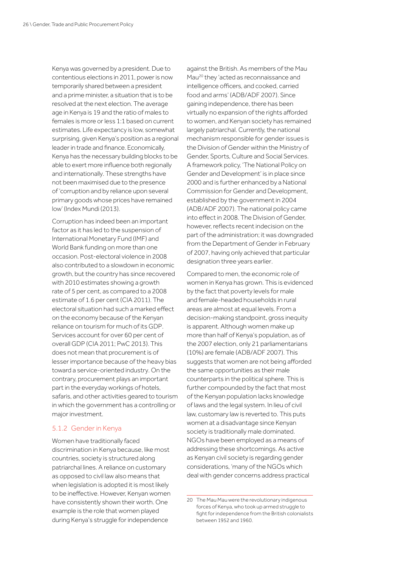Kenya was governed by a president. Due to contentious elections in 2011, power is now temporarily shared between a president and a prime minister, a situation that is to be resolved at the next election. The average age in Kenya is 19 and the ratio of males to females is more or less 1:1 based on current estimates. Life expectancy is low, somewhat surprising, given Kenya's position as a regional leader in trade and finance. Economically, Kenya has the necessary building blocks to be able to exert more influence both regionally and internationally. These strengths have not been maximised due to the presence of 'corruption and by reliance upon several primary goods whose prices have remained low' (Index Mundi (2013).

Corruption has indeed been an important factor as it has led to the suspension of International Monetary Fund (IMF) and World Bank funding on more than one occasion. Post-electoral violence in 2008 also contributed to a slowdown in economic growth, but the country has since recovered with 2010 estimates showing a growth rate of 5 per cent, as compared to a 2008 estimate of 1.6 per cent (CIA 2011). The electoral situation had such a marked effect on the economy because of the Kenyan reliance on tourism for much of its GDP. Services account for over 60 per cent of overall GDP (CIA 2011; PwC 2013). This does not mean that procurement is of lesser importance because of the heavy bias toward a service-oriented industry. On the contrary, procurement plays an important part in the everyday workings of hotels, safaris, and other activities geared to tourism in which the government has a controlling or major investment.

#### 5.1.2 Gender in Kenya

Women have traditionally faced discrimination in Kenya because, like most countries, society is structured along patriarchal lines. A reliance on customary as opposed to civil law also means that when legislation is adopted it is most likely to be ineffective. However, Kenyan women have consistently shown their worth. One example is the role that women played during Kenya's struggle for independence

against the British. As members of the Mau Mau<sup>20</sup> they 'acted as reconnaissance and intelligence officers, and cooked, carried food and arms' (ADB/ADF 2007). Since gaining independence, there has been virtually no expansion of the rights afforded to women, and Kenyan society has remained largely patriarchal. Currently, the national mechanism responsible for gender issues is the Division of Gender within the Ministry of Gender, Sports, Culture and Social Services. A framework policy, 'The National Policy on Gender and Development' is in place since 2000 and is further enhanced by a National Commission for Gender and Development, established by the government in 2004 (ADB/ADF 2007). The national policy came into effect in 2008. The Division of Gender, however, reflects recent indecision on the part of the administration; it was downgraded from the Department of Gender in February of 2007, having only achieved that particular designation three years earlier.

Compared to men, the economic role of women in Kenya has grown. This is evidenced by the fact that poverty levels for male and female-headed households in rural areas are almost at equal levels. From a decision-making standpoint, gross inequity is apparent. Although women make up more than half of Kenya's population, as of the 2007 election, only 21 parliamentarians (10%) are female (ADB/ADF 2007). This suggests that women are not being afforded the same opportunities as their male counterparts in the political sphere. This is further compounded by the fact that most of the Kenyan population lacks knowledge of laws and the legal system. In lieu of civil law, customary law is reverted to. This puts women at a disadvantage since Kenyan society is traditionally male dominated. NGOs have been employed as a means of addressing these shortcomings. As active as Kenyan civil society is regarding gender considerations, 'many of the NGOs which deal with gender concerns address practical

<sup>20</sup> The Mau Mau were the revolutionary indigenous forces of Kenya, who took up armed struggle to fight for independence from the British colonialists between 1952 and 1960.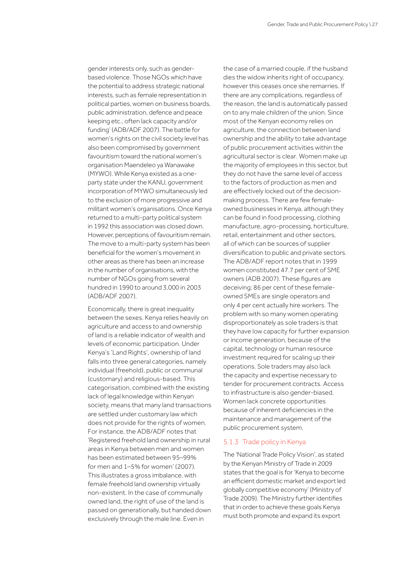gender interests only, such as genderbased violence. Those NGOs which have the potential to address strategic national interests, such as female representation in political parties, women on business boards, public administration, defence and peace keeping etc., often lack capacity and/or funding' (ADB/ADF 2007). The battle for women's rights on the civil society level has also been compromised by government favouritism toward the national women's organisation Maendeleo ya Wanawake (MYWO). While Kenya existed as a oneparty state under the KANU, government incorporation of MYWO simultaneously led to the exclusion of more progressive and militant women's organisations. Once Kenya returned to a multi-party political system in 1992 this association was closed down. However, perceptions of favouritism remain. The move to a multi-party system has been beneficial for the women's movement in other areas as there has been an increase in the number of organisations, with the number of NGOs going from several hundred in 1990 to around 3,000 in 2003 (ADB/ADF 2007).

Economically, there is great inequality between the sexes. Kenya relies heavily on agriculture and access to and ownership of land is a reliable indicator of wealth and levels of economic participation. Under Kenya's 'Land Rights', ownership of land falls into three general categories, namely individual (freehold), public or communal (customary) and religious-based. This categorisation, combined with the existing lack of legal knowledge within Kenyan society, means that many land transactions are settled under customary law which does not provide for the rights of women. For instance, the ADB/ADF notes that 'Registered freehold land ownership in rural areas in Kenya between men and women has been estimated between 95–99% for men and 1–5% for women' (2007). This illustrates a gross imbalance, with female freehold land ownership virtually non-existent. In the case of communally owned land, the right of use of the land is passed on generationally, but handed down exclusively through the male line. Even in

the case of a married couple, if the husband dies the widow inherits right of occupancy, however this ceases once she remarries. If there are any complications, regardless of the reason, the land is automatically passed on to any male children of the union. Since most of the Kenyan economy relies on agriculture, the connection between land ownership and the ability to take advantage of public procurement activities within the agricultural sector is clear. Women make up the majority of employees in this sector, but they do not have the same level of access to the factors of production as men and are effectively locked out of the decisionmaking process. There are few femaleowned businesses in Kenya, although they can be found in food processing, clothing manufacture, agro-processing, horticulture, retail, entertainment and other sectors, all of which can be sources of supplier diversification to public and private sectors. The ADB/ADF report notes that in 1999 women constituted 47.7 per cent of SME owners (ADB 2007). These figures are deceiving; 86 per cent of these femaleowned SMEs are single operators and only 4 per cent actually hire workers. The problem with so many women operating disproportionately as sole traders is that they have low capacity for further expansion or income generation, because of the capital, technology or human resource investment required for scaling up their operations. Sole traders may also lack the capacity and expertise necessary to tender for procurement contracts. Access to infrastructure is also gender-biased. Women lack concrete opportunities because of inherent deficiencies in the maintenance and management of the public procurement system.

#### 5.1.3 Trade policy in Kenya

The 'National Trade Policy Vision', as stated by the Kenyan Ministry of Trade in 2009 states that the goal is for 'Kenya to become an efficient domestic market and export led globally competitive economy' (Ministry of Trade 2009). The Ministry further identifies that in order to achieve these goals Kenya must both promote and expand its export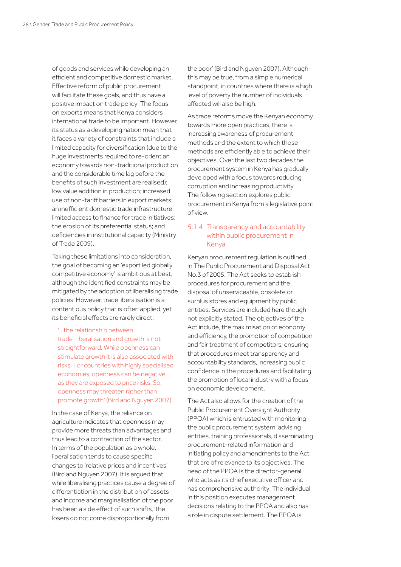of goods and services while developing an efficient and competitive domestic market. Effective reform of public procurement will facilitate these goals, and thus have a positive impact on trade policy. The focus on exports means that Kenya considers international trade to be important. However, its status as a developing nation mean that it faces a variety of constraints that include a limited capacity for diversification (due to the huge investments required to re-orient an economy towards non-traditional production and the considerable time lag before the benefits of such investment are realised); low value addition in production; increased use of non-tariff barriers in export markets; an inefficient domestic trade infrastructure; limited access to finance for trade initiatives; the erosion of its preferential status; and deficiencies in institutional capacity (Ministry of Trade 2009).

Taking these limitations into consideration, the goal of becoming an 'export led globally competitive economy' is ambitious at best, although the identified constraints may be mitigated by the adoption of liberalising trade policies. However, trade liberalisation is a contentious policy that is often applied, yet its beneficial effects are rarely direct:

'…the relationship between trade liberalisation and growth is not straightforward. While openness can stimulate growth it is also associated with risks. For countries with highly specialised economies, openness can be negative, as they are exposed to price risks. So, openness may threaten rather than promote growth' (Bird and Nguyen 2007).

In the case of Kenya, the reliance on agriculture indicates that openness may provide more threats than advantages and thus lead to a contraction of the sector. In terms of the population as a whole, liberalisation tends to cause specific changes to 'relative prices and incentives' (Bird and Nguyen 2007). It is argued that while liberalising practices cause a degree of differentiation in the distribution of assets and income and marginalisation of the poor has been a side effect of such shifts, 'the losers do not come disproportionally from

the poor' (Bird and Nguyen 2007). Although this may be true, from a simple numerical standpoint, in countries where there is a high level of poverty the number of individuals affected will also be high.

As trade reforms move the Kenyan economy towards more open practices, there is increasing awareness of procurement methods and the extent to which those methods are efficiently able to achieve their objectives. Over the last two decades the procurement system in Kenya has gradually developed with a focus towards reducing corruption and increasing productivity. The following section explores public procurement in Kenya from a legislative point of view.

#### 5.1.4 Transparency and accountability within public procurement in Kenya

Kenyan procurement regulation is outlined in The Public Procurement and Disposal Act No.3 of 2005. The Act seeks to establish procedures for procurement and the disposal of unserviceable, obsolete or surplus stores and equipment by public entities. Services are included here though not explicitly stated. The objectives of the Act include, the maximisation of economy and efficiency, the promotion of competition and fair treatment of competitors, ensuring that procedures meet transparency and accountability standards, increasing public confidence in the procedures and facilitating the promotion of local industry with a focus on economic development.

The Act also allows for the creation of the Public Procurement Oversight Authority (PPOA) which is entrusted with monitoring the public procurement system, advising entities, training professionals, disseminating procurement-related information and initiating policy and amendments to the Act that are of relevance to its objectives. The head of the PPOA is the director-general who acts as its chief executive officer and has comprehensive authority. The individual in this position executes management decisions relating to the PPOA and also has a role in dispute settlement. The PPOA is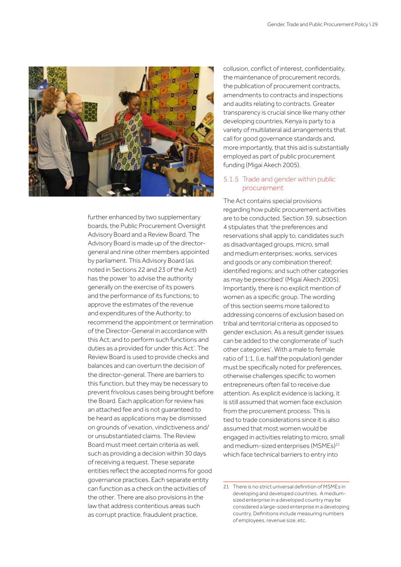

further enhanced by two supplementary boards, the Public Procurement Oversight Advisory Board and a Review Board. The Advisory Board is made up of the directorgeneral and nine other members appointed by parliament. This Advisory Board (as noted in Sections 22 and 23 of the Act) has the power 'to advise the authority generally on the exercise of its powers and the performance of its functions; to approve the estimates of the revenue and expenditures of the Authority; to recommend the appointment or termination of the Director-General in accordance with this Act; and to perform such functions and duties as a provided for under this Act'. The Review Board is used to provide checks and balances and can overturn the decision of the director-general. There are barriers to this function, but they may be necessary to prevent frivolous cases being brought before the Board. Each application for review has an attached fee and is not guaranteed to be heard as applications may be dismissed on grounds of vexation, vindictiveness and/ or unsubstantiated claims. The Review Board must meet certain criteria as well, such as providing a decision within 30 days of receiving a request. These separate entities reflect the accepted norms for good governance practices. Each separate entity can function as a check on the activities of the other. There are also provisions in the law that address contentious areas such as corrupt practice, fraudulent practice,

collusion, conflict of interest, confidentiality, the maintenance of procurement records, the publication of procurement contracts, amendments to contracts and inspections and audits relating to contracts. Greater transparency is crucial since like many other developing countries, Kenya is party to a variety of multilateral aid arrangements that call for good governance standards and, more importantly, that this aid is substantially employed as part of public procurement funding (Migai Akech 2005).

#### 5.1.5 Trade and gender within public procurement

The Act contains special provisions regarding how public procurement activities are to be conducted. Section 39, subsection 4 stipulates that 'the preferences and reservations shall apply to, candidates such as disadvantaged groups, micro, small and medium enterprises; works, services and goods or any combination thereof; identified regions; and such other categories as may be prescribed' (Migai Akech 2005). Importantly, there is no explicit mention of women as a specific group. The wording of this section seems more tailored to addressing concerns of exclusion based on tribal and territorial criteria as opposed to gender exclusion. As a result gender issues can be added to the conglomerate of 'such other categories'. With a male to female ratio of 1:1, (i.e. half the population) gender must be specifically noted for preferences, otherwise challenges specific to women entrepreneurs often fail to receive due attention. As explicit evidence is lacking, it is still assumed that women face exclusion from the procurement process. This is tied to trade considerations since it is also assumed that most women would be engaged in activities relating to micro, small and medium-sized enterprises (MSMEs)<sup>21</sup> which face technical barriers to entry into

<sup>21</sup> There is no strict universal definition of MSMEs in developing and developed countries. A mediumsized enterprise in a developed country may be considered a large-sized enterprise in a developing country. Definitions include measuring numbers of employees, revenue size, etc.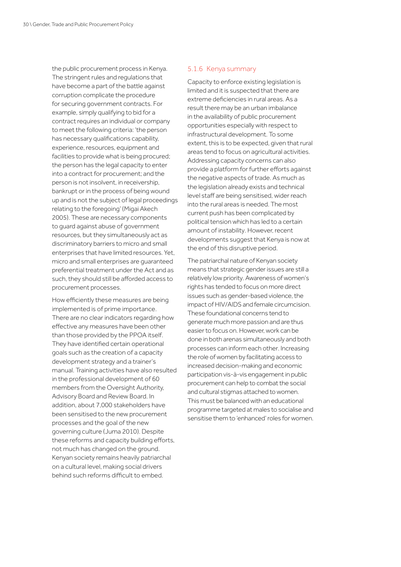the public procurement process in Kenya. The stringent rules and regulations that have become a part of the battle against corruption complicate the procedure for securing government contracts. For example, simply qualifying to bid for a contract requires an individual or company to meet the following criteria: 'the person has necessary qualifications capability, experience, resources, equipment and facilities to provide what is being procured; the person has the legal capacity to enter into a contract for procurement; and the person is not insolvent, in receivership, bankrupt or in the process of being wound up and is not the subject of legal proceedings relating to the foregoing' (Migai Akech 2005). These are necessary components to guard against abuse of government resources, but they simultaneously act as discriminatory barriers to micro and small enterprises that have limited resources. Yet, micro and small enterprises are guaranteed preferential treatment under the Act and as such, they should still be afforded access to procurement processes.

How efficiently these measures are being implemented is of prime importance. There are no clear indicators regarding how effective any measures have been other than those provided by the PPOA itself. They have identified certain operational goals such as the creation of a capacity development strategy and a trainer's manual. Training activities have also resulted in the professional development of 60 members from the Oversight Authority, Advisory Board and Review Board. In addition, about 7,000 stakeholders have been sensitised to the new procurement processes and the goal of the new governing culture (Juma 2010). Despite these reforms and capacity building efforts, not much has changed on the ground. Kenyan society remains heavily patriarchal on a cultural level, making social drivers behind such reforms difficult to embed.

#### 5.1.6 Kenya summary

Capacity to enforce existing legislation is limited and it is suspected that there are extreme deficiencies in rural areas. As a result there may be an urban imbalance in the availability of public procurement opportunities especially with respect to infrastructural development. To some extent, this is to be expected, given that rural areas tend to focus on agricultural activities. Addressing capacity concerns can also provide a platform for further efforts against the negative aspects of trade. As much as the legislation already exists and technical level staff are being sensitised, wider reach into the rural areas is needed. The most current push has been complicated by political tension which has led to a certain amount of instability. However, recent developments suggest that Kenya is now at the end of this disruptive period.

The patriarchal nature of Kenyan society means that strategic gender issues are still a relatively low priority. Awareness of women's rights has tended to focus on more direct issues such as gender-based violence, the impact of HIV/AIDS and female circumcision. These foundational concerns tend to generate much more passion and are thus easier to focus on. However, work can be done in both arenas simultaneously and both processes can inform each other. Increasing the role of women by facilitating access to increased decision-making and economic participation vis-à-vis engagement in public procurement can help to combat the social and cultural stigmas attached to women. This must be balanced with an educational programme targeted at males to socialise and sensitise them to 'enhanced' roles for women.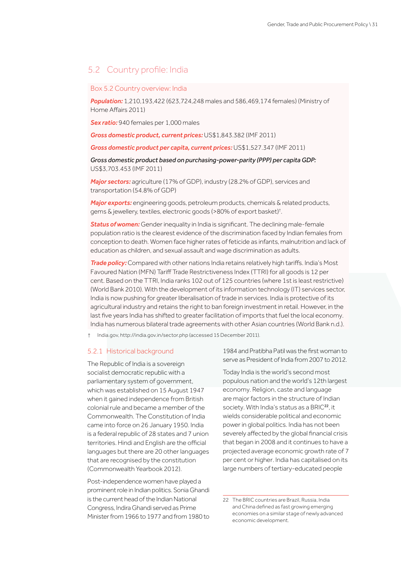### 5.2 Country profile: India

#### Box 5.2 Country overview: India

*Population:* 1,210,193,422 (623,724,248 males and 586,469,174 females) (Ministry of Home Affairs 2011)

*Sex ratio:* 940 females per 1,000 males

*Gross domestic product, current prices:* US\$1,843.382 (IMF 2011)

*Gross domestic product per capita, current prices:* US\$1,527.347 (IMF 2011)

*Gross domestic product based on purchasing-power-parity (PPP) per capita GDP:* US\$3,703.453 (IMF 2011)

*Major sectors:* agriculture (17% of GDP), industry (28.2% of GDP), services and transportation (54.8% of GDP)

*Major exports:* engineering goods, petroleum products, chemicals & related products, gems & jewellery, textiles, electronic goods (>80% of export basket)† .

**Status of women:** Gender inequality in India is significant. The declining male-female population ratio is the clearest evidence of the discrimination faced by Indian females from conception to death. Women face higher rates of feticide as infants, malnutrition and lack of education as children, and sexual assault and wage discrimination as adults.

*Trade policy:* Compared with other nations India retains relatively high tariffs. India's Most Favoured Nation (MFN) Tariff Trade Restrictiveness Index (TTRI) for all goods is 12 per cent. Based on the TTRI, India ranks 102 out of 125 countries (where 1st is least restrictive) (World Bank 2010). With the development of its information technology (IT) services sector, India is now pushing for greater liberalisation of trade in services. India is protective of its agricultural industry and retains the right to ban foreign investment in retail. However, in the last five years India has shifted to greater facilitation of imports that fuel the local economy. India has numerous bilateral trade agreements with other Asian countries (World Bank n.d.).

† India.gov, http://india.gov.in/sector.php (accessed 15 December 2011).

#### 5.2.1 Historical background

The Republic of India is a sovereign socialist democratic republic with a parliamentary system of government, which was established on 15 August 1947 when it gained independence from British colonial rule and became a member of the Commonwealth. The Constitution of India came into force on 26 January 1950. India is a federal republic of 28 states and 7 union territories. Hindi and English are the official languages but there are 20 other languages that are recognised by the constitution (Commonwealth Yearbook 2012).

Post-independence women have played a prominent role in Indian politics. Sonia Ghandi is the current head of the Indian National Congress, Indira Ghandi served as Prime Minister from 1966 to 1977 and from 1980 to

1984 and Pratibha Patil was the first woman to serve as President of India from 2007 to 2012.

Today India is the world's second most populous nation and the world's 12th largest economy. Religion, caste and language are major factors in the structure of Indian society. With India's status as a BRIC<sup>22</sup>, it wields considerable political and economic power in global politics. India has not been severely affected by the global financial crisis that began in 2008 and it continues to have a projected average economic growth rate of 7 per cent or higher. India has capitalised on its large numbers of tertiary-educated people

<sup>22</sup> The BRIC countries are Brazil, Russia, India and China defined as fast growing emerging economies on a similar stage of newly advanced economic development.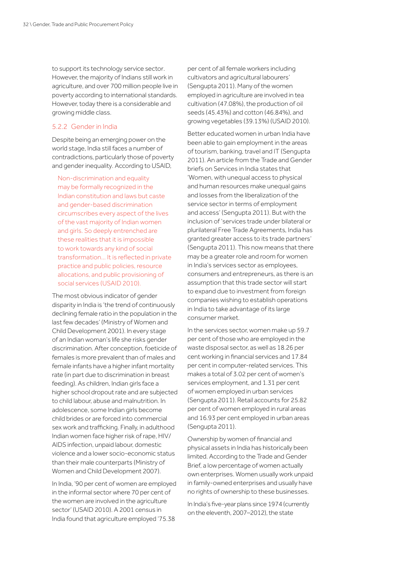to support its technology service sector. However, the majority of Indians still work in agriculture, and over 700 million people live in poverty according to international standards. However, today there is a considerable and growing middle class.

#### 5.2.2 Gender in India

Despite being an emerging power on the world stage, India still faces a number of contradictions, particularly those of poverty and gender inequality. According to USAID,

Non-discrimination and equality may be formally recognized in the Indian constitution and laws but caste and gender-based discrimination circumscribes every aspect of the lives of the vast majority of Indian women and girls. So deeply entrenched are these realities that it is impossible to work towards any kind of social transformation... It is reflected in private practice and public policies, resource allocations, and public provisioning of social services (USAID 2010).

The most obvious indicator of gender disparity in India is 'the trend of continuously declining female ratio in the population in the last few decades' (Ministry of Women and Child Development 2001). In every stage of an Indian woman's life she risks gender discrimination. After conception, foeticide of females is more prevalent than of males and female infants have a higher infant mortality rate (in part due to discrimination in breast feeding). As children, Indian girls face a higher school dropout rate and are subjected to child labour, abuse and malnutrition. In adolescence, some Indian girls become child brides or are forced into commercial sex work and trafficking. Finally, in adulthood Indian women face higher risk of rape, HIV/ AIDS infection, unpaid labour, domestic violence and a lower socio-economic status than their male counterparts (Ministry of Women and Child Development 2007).

In India, '90 per cent of women are employed in the informal sector where 70 per cent of the women are involved in the agriculture sector' (USAID 2010). A 2001 census in India found that agriculture employed '75.38

per cent of all female workers including cultivators and agricultural labourers' (Sengupta 2011). Many of the women employed in agriculture are involved in tea cultivation (47.08%), the production of oil seeds (45.43%) and cotton (46.84%), and growing vegetables (39.13%) (USAID 2010).

Better educated women in urban India have been able to gain employment in the areas of tourism, banking, travel and IT (Sengupta 2011). An article from the Trade and Gender briefs on Services in India states that 'Women, with unequal access to physical and human resources make unequal gains and losses from the liberalization of the service sector in terms of employment and access' (Sengupta 2011). But with the inclusion of 'services trade under bilateral or plurilateral Free Trade Agreements, India has granted greater access to its trade partners' (Sengupta 2011). This now means that there may be a greater role and room for women in India's services sector as employees, consumers and entrepreneurs, as there is an assumption that this trade sector will start to expand due to investment from foreign companies wishing to establish operations in India to take advantage of its large consumer market.

In the services sector, women make up 59.7 per cent of those who are employed in the waste disposal sector, as well as 18.26 per cent working in financial services and 17.84 per cent in computer-related services. This makes a total of 3.02 per cent of women's services employment, and 1.31 per cent of women employed in urban services (Sengupta 2011). Retail accounts for 25.82 per cent of women employed in rural areas and 16.93 per cent employed in urban areas (Sengupta 2011).

Ownership by women of financial and physical assets in India has historically been limited. According to the Trade and Gender Brief, a low percentage of women actually own enterprises. Women usually work unpaid in family-owned enterprises and usually have no rights of ownership to these businesses.

In India's five-year plans since 1974 (currently on the eleventh, 2007–2012), the state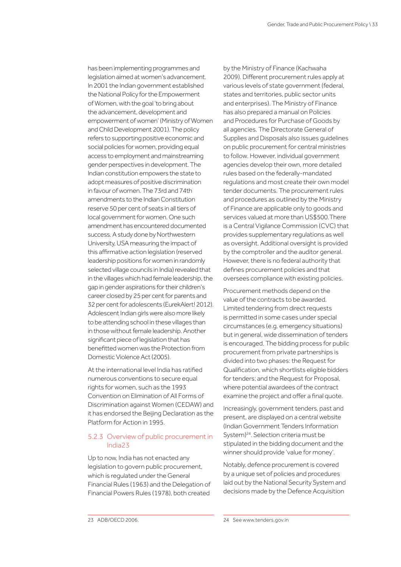has been implementing programmes and legislation aimed at women's advancement. In 2001 the Indian government established the National Policy for the Empowerment of Women, with the goal 'to bring about the advancement, development and empowerment of women' (Ministry of Women and Child Development 2001). The policy refers to supporting positive economic and social policies for women, providing equal access to employment and mainstreaming gender perspectives in development. The Indian constitution empowers the state to adopt measures of positive discrimination in favour of women. The 73rd and 74th amendments to the Indian Constitution reserve 50 per cent of seats in all tiers of local government for women. One such amendment has encountered documented success. A study done by Northwestern University, USA measuring the impact of this affirmative action legislation (reserved leadership positions for women in randomly selected village councils in India) revealed that in the villages which had female leadership, the gap in gender aspirations for their children's career closed by 25 per cent for parents and 32 per cent for adolescents (EurekAlert! 2012). Adolescent Indian girls were also more likely to be attending school in these villages than in those without female leadership. Another significant piece of legislation that has benefitted women was the Protection from Domestic Violence Act (2005).

At the international level India has ratified numerous conventions to secure equal rights for women, such as the 1993 Convention on Elimination of All Forms of Discrimination against Women (CEDAW) and it has endorsed the Beijing Declaration as the Platform for Action in 1995.

#### 5.2.3 Overview of public procurement in India23

Up to now, India has not enacted any legislation to govern public procurement, which is regulated under the General Financial Rules (1963) and the Delegation of Financial Powers Rules (1978), both created

by the Ministry of Finance (Kachwaha 2009). Different procurement rules apply at various levels of state government (federal, states and territories, public sector units and enterprises). The Ministry of Finance has also prepared a manual on Policies and Procedures for Purchase of Goods by all agencies. The Directorate General of Supplies and Disposals also issues guidelines on public procurement for central ministries to follow. However, individual government agencies develop their own, more detailed rules based on the federally-mandated regulations and most create their own model tender documents. The procurement rules and procedures as outlined by the Ministry of Finance are applicable only to goods and services valued at more than US\$500.There is a Central Vigilance Commission (CVC) that provides supplementary regulations as well as oversight. Additional oversight is provided by the comptroller and the auditor general. However, there is no federal authority that defines procurement policies and that oversees compliance with existing policies.

Procurement methods depend on the value of the contracts to be awarded. Limited tendering from direct requests is permitted in some cases under special circumstances (e.g. emergency situations) but in general, wide dissemination of tenders is encouraged. The bidding process for public procurement from private partnerships is divided into two phases: the Request for Qualification, which shortlists eligible bidders for tenders; and the Request for Proposal, where potential awardees of the contract examine the project and offer a final quote.

Increasingly, government tenders, past and present, are displayed on a central website (Indian Government Tenders Information System)<sup>24</sup>. Selection criteria must be stipulated in the bidding document and the winner should provide 'value for money'.

Notably, defence procurement is covered by a unique set of policies and procedures laid out by the National Security System and decisions made by the Defence Acquisition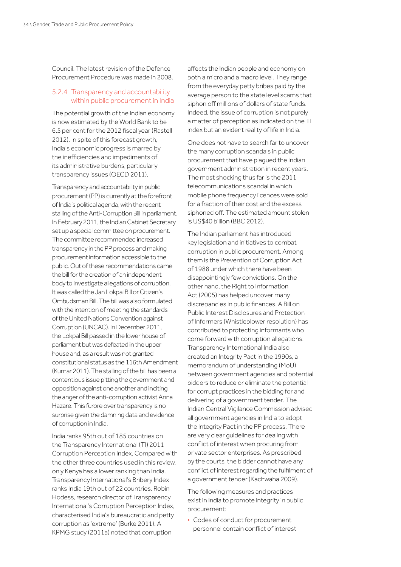Council. The latest revision of the Defence Procurement Procedure was made in 2008.

#### 5.2.4 Transparency and accountability within public procurement in India

The potential growth of the Indian economy is now estimated by the World Bank to be 6.5 per cent for the 2012 fiscal year (Rastell 2012). In spite of this forecast growth, India's economic progress is marred by the inefficiencies and impediments of its administrative burdens, particularly transparency issues (OECD 2011).

Transparency and accountability in public procurement (PP) is currently at the forefront of India's political agenda, with the recent stalling of the Anti-Corruption Bill in parliament. In February 2011, the Indian Cabinet Secretary set up a special committee on procurement. The committee recommended increased transparency in the PP process and making procurement information accessible to the public. Out of these recommendations came the bill for the creation of an independent body to investigate allegations of corruption. It was called the Jan Lokpal Bill or Citizen's Ombudsman Bill. The bill was also formulated with the intention of meeting the standards of the United Nations Convention against Corruption (UNCAC). In December 2011, the Lokpal Bill passed in the lower house of parliament but was defeated in the upper house and, as a result was not granted constitutional status as the 116th Amendment (Kumar 2011). The stalling of the bill has been a contentious issue pitting the government and opposition against one another and inciting the anger of the anti-corruption activist Anna Hazare. This furore over transparency is no surprise given the damning data and evidence of corruption in India.

India ranks 95th out of 185 countries on the Transparency International (TI) 2011 Corruption Perception Index. Compared with the other three countries used in this review, only Kenya has a lower ranking than India. Transparency International's Bribery Index ranks India 19th out of 22 countries. Robin Hodess, research director of Transparency International's Corruption Perception Index, characterised India's bureaucratic and petty corruption as 'extreme' (Burke 2011). A KPMG study (2011a) noted that corruption

affects the Indian people and economy on both a micro and a macro level. They range from the everyday petty bribes paid by the average person to the state level scams that siphon off millions of dollars of state funds. Indeed, the issue of corruption is not purely a matter of perception as indicated on the TI index but an evident reality of life in India.

One does not have to search far to uncover the many corruption scandals in public procurement that have plagued the Indian government administration in recent years. The most shocking thus far is the 2011 telecommunications scandal in which mobile phone frequency licences were sold for a fraction of their cost and the excess siphoned off. The estimated amount stolen is US\$40 billion (BBC 2012).

The Indian parliament has introduced key legislation and initiatives to combat corruption in public procurement. Among them is the Prevention of Corruption Act of 1988 under which there have been disappointingly few convictions. On the other hand, the Right to Information Act (2005) has helped uncover many discrepancies in public finances. A Bill on Public Interest Disclosures and Protection of Informers (Whistleblower resolution) has contributed to protecting informants who come forward with corruption allegations. Transparency International India also created an Integrity Pact in the 1990s, a memorandum of understanding (MoU) between government agencies and potential bidders to reduce or eliminate the potential for corrupt practices in the bidding for and delivering of a government tender. The Indian Central Vigilance Commission advised all government agencies in India to adopt the Integrity Pact in the PP process. There are very clear guidelines for dealing with conflict of interest when procuring from private sector enterprises. As prescribed by the courts, the bidder cannot have any conflict of interest regarding the fulfilment of a government tender (Kachwaha 2009).

The following measures and practices exist in India to promote integrity in public procurement:

• Codes of conduct for procurement personnel contain conflict of interest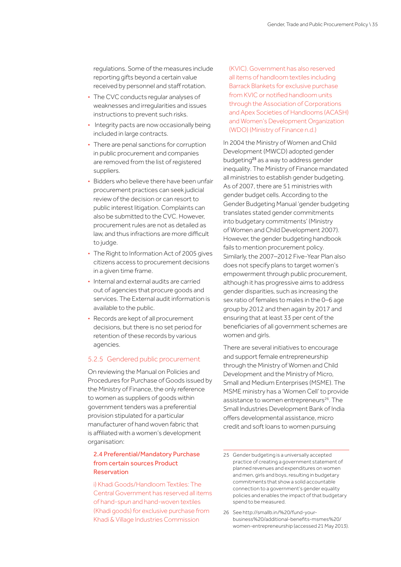regulations. Some of the measures include reporting gifts beyond a certain value received by personnel and staff rotation.

- The CVC conducts regular analyses of weaknesses and irregularities and issues instructions to prevent such risks.
- Integrity pacts are now occasionally being included in large contracts.
- There are penal sanctions for corruption in public procurement and companies are removed from the list of registered suppliers.
- Bidders who believe there have been unfair procurement practices can seek judicial review of the decision or can resort to public interest litigation. Complaints can also be submitted to the CVC. However, procurement rules are not as detailed as law, and thus infractions are more difficult to judge.
- The Right to Information Act of 2005 gives citizens access to procurement decisions in a given time frame.
- Internal and external audits are carried out of agencies that procure goods and services. The External audit information is available to the public.
- Records are kept of all procurement decisions, but there is no set period for retention of these records by various agencies.

#### 5.2.5 Gendered public procurement

On reviewing the Manual on Policies and Procedures for Purchase of Goods issued by the Ministry of Finance, the only reference to women as suppliers of goods within government tenders was a preferential provision stipulated for a particular manufacturer of hand woven fabric that is affiliated with a women's development organisation:

#### 2.4 Preferential/Mandatory Purchase from certain sources Product Reservation

i) Khadi Goods/Handloom Textiles: The Central Government has reserved all items of hand-spun and hand-woven textiles (Khadi goods) for exclusive purchase from Khadi & Village Industries Commission

(KVIC). Government has also reserved all items of handloom textiles including Barrack Blankets for exclusive purchase from KVIC or notified handloom units through the Association of Corporations and Apex Societies of Handlooms (ACASH) and Women's Development Organization (WDO) (Ministry of Finance n.d.)

In 2004 the Ministry of Women and Child Development (MWCD) adopted gender budgeting<sup>25</sup> as a way to address gender inequality. The Ministry of Finance mandated all ministries to establish gender budgeting. As of 2007, there are 51 ministries with gender budget cells. According to the Gender Budgeting Manual 'gender budgeting translates stated gender commitments into budgetary commitments' (Ministry of Women and Child Development 2007). However, the gender budgeting handbook fails to mention procurement policy. Similarly, the 2007–2012 Five-Year Plan also does not specify plans to target women's empowerment through public procurement, although it has progressive aims to address gender disparities, such as increasing the sex ratio of females to males in the 0–6 age group by 2012 and then again by 2017 and ensuring that at least 33 per cent of the beneficiaries of all government schemes are women and girls.

There are several initiatives to encourage and support female entrepreneurship through the Ministry of Women and Child Development and the Ministry of Micro, Small and Medium Enterprises (MSME). The MSME ministry has a 'Women Cell' to provide assistance to women entrepreneurs<sup>26</sup>. The Small Industries Development Bank of India offers developmental assistance, micro credit and soft loans to women pursuing

<sup>25</sup> Gender budgeting is a universally accepted practice of creating a government statement of planned revenues and expenditures on women and men, girls and boys, resulting in budgetary commitments that show a solid accountable connection to a government's gender equality policies and enables the impact of that budgetary spend to be measured.

<sup>26</sup> See http://smallb.in/%20/fund-yourbusiness%20/additional-benefits-msmes%20/ women-entrepreneurship (accessed 21 May 2013).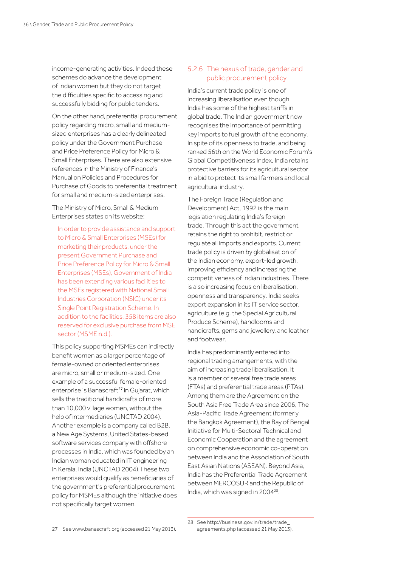income-generating activities. Indeed these schemes do advance the development of Indian women but they do not target the difficulties specific to accessing and successfully bidding for public tenders.

On the other hand, preferential procurement policy regarding micro, small and mediumsized enterprises has a clearly delineated policy under the Government Purchase and Price Preference Policy for Micro & Small Enterprises. There are also extensive references in the Ministry of Finance's Manual on Policies and Procedures for Purchase of Goods to preferential treatment for small and medium-sized enterprises.

The Ministry of Micro, Small & Medium Enterprises states on its website:

In order to provide assistance and support to Micro & Small Enterprises (MSEs) for marketing their products, under the present Government Purchase and Price Preference Policy for Micro & Small Enterprises (MSEs), Government of India has been extending various facilities to the MSEs registered with National Small Industries Corporation (NSIC) under its Single Point Registration Scheme. In addition to the facilities, 358 items are also reserved for exclusive purchase from MSE sector (MSME n.d.).

This policy supporting MSMEs can indirectly benefit women as a larger percentage of female-owned or oriented enterprises are micro, small or medium-sized. One example of a successful female-oriented enterprise is Banascraft<sup>27</sup> in Gujarat, which sells the traditional handicrafts of more than 10,000 village women, without the help of intermediaries (UNCTAD 2004). Another example is a company called B2B, a New Age Systems, United States-based software services company with offshore processes in India, which was founded by an Indian woman educated in IT engineering in Kerala, India (UNCTAD 2004).These two enterprises would qualify as beneficiaries of the government's preferential procurement policy for MSMEs although the initiative does not specifically target women.

#### 5.2.6 The nexus of trade, gender and public procurement policy

India's current trade policy is one of increasing liberalisation even though India has some of the highest tariffs in global trade. The Indian government now recognises the importance of permitting key imports to fuel growth of the economy. In spite of its openness to trade, and being ranked 56th on the World Economic Forum's Global Competitiveness Index, India retains protective barriers for its agricultural sector in a bid to protect its small farmers and local agricultural industry.

The Foreign Trade (Regulation and Development) Act, 1992 is the main legislation regulating India's foreign trade. Through this act the government retains the right to prohibit, restrict or regulate all imports and exports. Current trade policy is driven by globalisation of the Indian economy, export-led growth, improving efficiency and increasing the competitiveness of Indian industries. There is also increasing focus on liberalisation, openness and transparency. India seeks export expansion in its IT service sector, agriculture (e.g. the Special Agricultural Produce Scheme), handlooms and handicrafts, gems and jewellery, and leather and footwear.

India has predominantly entered into regional trading arrangements, with the aim of increasing trade liberalisation. It is a member of several free trade areas (FTAs) and preferential trade areas (PTAs). Among them are the Agreement on the South Asia Free Trade Area since 2006, The Asia-Pacific Trade Agreement (formerly the Bangkok Agreement), the Bay of Bengal Initiative for Multi-Sectoral Technical and Economic Cooperation and the agreement on comprehensive economic co-operation between India and the Association of South East Asian Nations (ASEAN). Beyond Asia, India has the Preferential Trade Agreement between MERCOSUR and the Republic of India, which was signed in 2004<sup>28</sup>.

27 See www.banascraft.org (accessed 21 May 2013).

28 See http://business.gov.in/trade/trade\_ agreements.php (accessed 21 May 2013).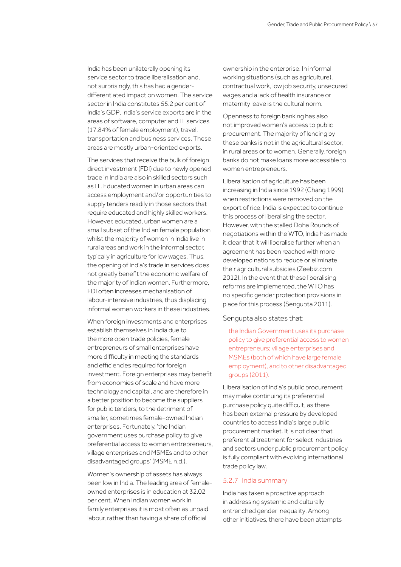India has been unilaterally opening its service sector to trade liberalisation and, not surprisingly, this has had a genderdifferentiated impact on women. The service sector in India constitutes 55.2 per cent of India's GDP. India's service exports are in the areas of software, computer and IT services (17.84% of female employment), travel, transportation and business services. These areas are mostly urban-oriented exports.

The services that receive the bulk of foreign direct investment (FDI) due to newly opened trade in India are also in skilled sectors such as IT. Educated women in urban areas can access employment and/or opportunities to supply tenders readily in those sectors that require educated and highly skilled workers. However, educated, urban women are a small subset of the Indian female population whilst the majority of women in India live in rural areas and work in the informal sector, typically in agriculture for low wages. Thus, the opening of India's trade in services does not greatly benefit the economic welfare of the majority of Indian women. Furthermore, FDI often increases mechanisation of labour-intensive industries, thus displacing informal women workers in these industries.

When foreign investments and enterprises establish themselves in India due to the more open trade policies, female entrepreneurs of small enterprises have more difficulty in meeting the standards and efficiencies required for foreign investment. Foreign enterprises may benefit from economies of scale and have more technology and capital, and are therefore in a better position to become the suppliers for public tenders, to the detriment of smaller, sometimes female-owned Indian enterprises. Fortunately, 'the Indian government uses purchase policy to give preferential access to women entrepreneurs, village enterprises and MSMEs and to other disadvantaged groups' (MSME n.d.).

Women's ownership of assets has always been low in India. The leading area of femaleowned enterprises is in education at 32.02 per cent. When Indian women work in family enterprises it is most often as unpaid labour, rather than having a share of official

ownership in the enterprise. In informal working situations (such as agriculture), contractual work, low job security, unsecured wages and a lack of health insurance or maternity leave is the cultural norm.

Openness to foreign banking has also not improved women's access to public procurement. The majority of lending by these banks is not in the agricultural sector, in rural areas or to women. Generally, foreign banks do not make loans more accessible to women entrepreneurs.

Liberalisation of agriculture has been increasing in India since 1992 (Chang 1999) when restrictions were removed on the export of rice. India is expected to continue this process of liberalising the sector. However, with the stalled Doha Rounds of negotiations within the WTO, India has made it clear that it will liberalise further when an agreement has been reached with more developed nations to reduce or eliminate their agricultural subsidies (Zeebiz.com 2012). In the event that these liberalising reforms are implemented, the WTO has no specific gender protection provisions in place for this process (Sengupta 2011).

#### Sengupta also states that:

the Indian Government uses its purchase policy to give preferential access to women entrepreneurs; village enterprises and MSMEs (both of which have large female employment), and to other disadvantaged groups (2011).

Liberalisation of India's public procurement may make continuing its preferential purchase policy quite difficult, as there has been external pressure by developed countries to access India's large public procurement market. It is not clear that preferential treatment for select industries and sectors under public procurement policy is fully compliant with evolving international trade policy law.

#### 5.2.7 India summary

India has taken a proactive approach in addressing systemic and culturally entrenched gender inequality. Among other initiatives, there have been attempts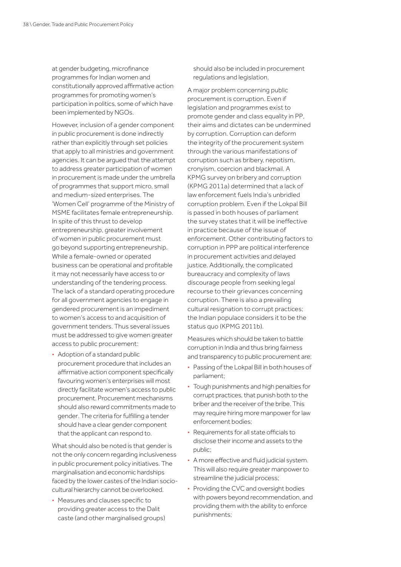at gender budgeting, microfinance programmes for Indian women and constitutionally approved affirmative action programmes for promoting women's participation in politics, some of which have been implemented by NGOs.

However, inclusion of a gender component in public procurement is done indirectly rather than explicitly through set policies that apply to all ministries and government agencies. It can be argued that the attempt to address greater participation of women in procurement is made under the umbrella of programmes that support micro, small and medium-sized enterprises. The 'Women Cell' programme of the Ministry of MSME facilitates female entrepreneurship. In spite of this thrust to develop entrepreneurship, greater involvement of women in public procurement must go beyond supporting entrepreneurship. While a female-owned or operated business can be operational and profitable it may not necessarily have access to or understanding of the tendering process. The lack of a standard operating procedure for all government agencies to engage in gendered procurement is an impediment to women's access to and acquisition of government tenders. Thus several issues must be addressed to give women greater access to public procurement:

• Adoption of a standard public procurement procedure that includes an affirmative action component specifically favouring women's enterprises will most directly facilitate women's access to public procurement. Procurement mechanisms should also reward commitments made to gender. The criteria for fulfilling a tender should have a clear gender component that the applicant can respond to.

What should also be noted is that gender is not the only concern regarding inclusiveness in public procurement policy initiatives. The marginalisation and economic hardships faced by the lower castes of the Indian sociocultural hierarchy cannot be overlooked.

• Measures and clauses specific to providing greater access to the Dalit caste (and other marginalised groups) should also be included in procurement regulations and legislation.

A major problem concerning public procurement is corruption. Even if legislation and programmes exist to promote gender and class equality in PP, their aims and dictates can be undermined by corruption. Corruption can deform the integrity of the procurement system through the various manifestations of corruption such as bribery, nepotism, cronyism, coercion and blackmail. A KPMG survey on bribery and corruption (KPMG 2011a) determined that a lack of law enforcement fuels India's unbridled corruption problem. Even if the Lokpal Bill is passed in both houses of parliament the survey states that it will be ineffective in practice because of the issue of enforcement. Other contributing factors to corruption in PPP are political interference in procurement activities and delayed justice. Additionally, the complicated bureaucracy and complexity of laws discourage people from seeking legal recourse to their grievances concerning corruption. There is also a prevailing cultural resignation to corrupt practices; the Indian populace considers it to be the status quo (KPMG 2011b).

Measures which should be taken to battle corruption in India and thus bring fairness and transparency to public procurement are:

- Passing of the Lokpal Bill in both houses of parliament;
- Tough punishments and high penalties for corrupt practices, that punish both to the briber and the receiver of the bribe. This may require hiring more manpower for law enforcement bodies;
- Requirements for all state officials to disclose their income and assets to the public;
- A more effective and fluid judicial system. This will also require greater manpower to streamline the judicial process;
- Providing the CVC and oversight bodies with powers beyond recommendation, and providing them with the ability to enforce punishments;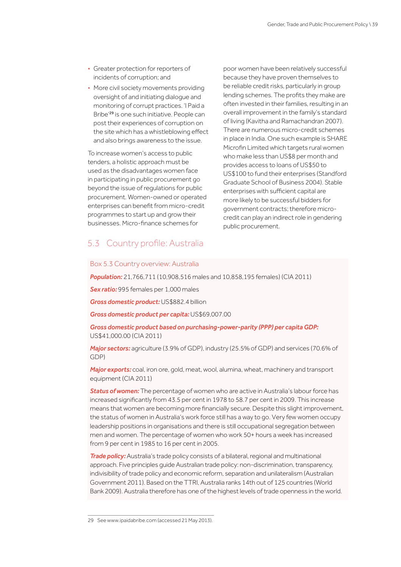- Greater protection for reporters of incidents of corruption; and
- More civil society movements providing oversight of and initiating dialogue and monitoring of corrupt practices. 'I Paid a Bribe'<sup>29</sup> is one such initiative. People can post their experiences of corruption on the site which has a whistleblowing effect and also brings awareness to the issue.

To increase women's access to public tenders, a holistic approach must be used as the disadvantages women face in participating in public procurement go beyond the issue of regulations for public procurement. Women-owned or operated enterprises can benefit from micro-credit programmes to start up and grow their businesses. Micro-finance schemes for

poor women have been relatively successful because they have proven themselves to be reliable credit risks, particularly in group lending schemes. The profits they make are often invested in their families, resulting in an overall improvement in the family's standard of living (Kavitha and Ramachandran 2007). There are numerous micro-credit schemes in place in India. One such example is SHARE Microfin Limited which targets rural women who make less than US\$8 per month and provides access to loans of US\$50 to US\$100 to fund their enterprises (Standford Graduate School of Business 2004). Stable enterprises with sufficient capital are more likely to be successful bidders for government contracts; therefore microcredit can play an indirect role in gendering public procurement.

### 5.3 Country profile: Australia

#### Box 5.3 Country overview: Australia

#### *Population:* 21,766,711 (10,908,516 males and 10,858,195 females) (CIA 2011)

*Sex ratio:* 995 females per 1,000 males

*Gross domestic product:* US\$882.4 billion

*Gross domestic product per capita:* US\$69,007.00

*Gross domestic product based on purchasing-power-parity (PPP) per capita GDP:*  US\$41,000.00 (CIA 2011)

*Major sectors:* agriculture (3.9% of GDP), industry (25.5% of GDP) and services (70.6% of GDP)

*Major exports:* coal, iron ore, gold, meat, wool, alumina, wheat, machinery and transport equipment (CIA 2011)

*Status of women:* The percentage of women who are active in Australia's labour force has increased significantly from 43.5 per cent in 1978 to 58.7 per cent in 2009. This increase means that women are becoming more financially secure. Despite this slight improvement, the status of women in Australia's work force still has a way to go. Very few women occupy leadership positions in organisations and there is still occupational segregation between men and women. The percentage of women who work 50+ hours a week has increased from 9 per cent in 1985 to 16 per cent in 2005.

*Trade policy:* Australia's trade policy consists of a bilateral, regional and multinational approach. Five principles guide Australian trade policy: non-discrimination, transparency, indivisibility of trade policy and economic reform, separation and unilateralism (Australian Government 2011). Based on the TTRI, Australia ranks 14th out of 125 countries (World Bank 2009). Australia therefore has one of the highest levels of trade openness in the world.

<sup>29</sup> See www.ipaidabribe.com (accessed 21 May 2013).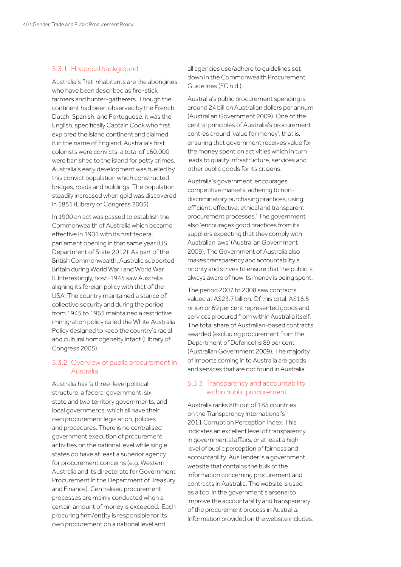#### 5.3.1 Historical background

Australia's first inhabitants are the aborigines who have been described as fire-stick farmers and hunter-gatherers. Though the continent had been observed by the French, Dutch, Spanish, and Portuguese, it was the English, specifically Captain Cook who first explored the island continent and claimed it in the name of England. Australia's first colonists were convicts; a total of 160,000 were banished to the island for petty crimes. Australia's early development was fuelled by this convict population which constructed bridges, roads and buildings. The population steadily increased when gold was discovered in 1851 (Library of Congress 2005).

In 1900 an act was passed to establish the Commonwealth of Australia which became effective in 1901 with its first federal parliament opening in that same year (US Department of State 2012). As part of the British Commonwealth, Australia supported Britain during World War I and World War II. Interestingly, post-1945 saw Australia aligning its foreign policy with that of the USA. The country maintained a stance of collective security and during the period from 1945 to 1965 maintained a restrictive immigration policy called the White Australia Policy designed to keep the country's racial and cultural homogeneity intact (Library of Congress 2005).

#### 5.3.2 Overview of public procurement in Australia

Australia has 'a three-level political structure, a federal government, six state and two territory governments, and local governments, which all have their own procurement legislation, policies and procedures. There is no centralised government execution of procurement activities on the national level while single states do have at least a superior agency for procurement concerns (e.g. Western Australia and its directorate for Government Procurement in the Department of Treasury and Finance). Centralised procurement processes are mainly conducted when a certain amount of money is exceeded.' Each procuring firm/entity is responsible for its own procurement on a national level and

all agencies use/adhere to guidelines set down in the Commonwealth Procurement Guidelines (EC n.d.).

Australia's public procurement spending is around 24 billion Australian dollars per annum (Australian Government 2009). One of the central principles of Australia's procurement centres around 'value for money', that is, ensuring that government receives value for the money spent on activities which in turn leads to quality infrastructure, services and other public goods for its citizens.

Australia's government 'encourages competitive markets, adhering to nondiscriminatory purchasing practices, using efficient, effective, ethical and transparent procurement processes.' The government also 'encourages good practices from its suppliers expecting that they comply with Australian laws' (Australian Government 2009). The Government of Australia also makes transparency and accountability a priority and strives to ensure that the public is always aware of how its money is being spent.

The period 2007 to 2008 saw contracts valued at A\$23.7 billion. Of this total, A\$16.5 billion or 69 per cent represented goods and services procured from within Australia itself. The total share of Australian-based contracts awarded (excluding procurement from the Department of Defence) is 89 per cent (Australian Government 2009). The majority of imports coming in to Australia are goods and services that are not found in Australia.

#### 5.3.3 Transparency and accountability within public procurement

Australia ranks 8th out of 185 countries on the Transparency International's 2011 Corruption Perception Index. This indicates an excellent level of transparency in governmental affairs, or at least a high level of public perception of fairness and accountability. AusTender is a government website that contains the bulk of the information concerning procurement and contracts in Australia. The website is used as a tool in the government's arsenal to improve the accountability and transparency of the procurement process in Australia. Information provided on the website includes: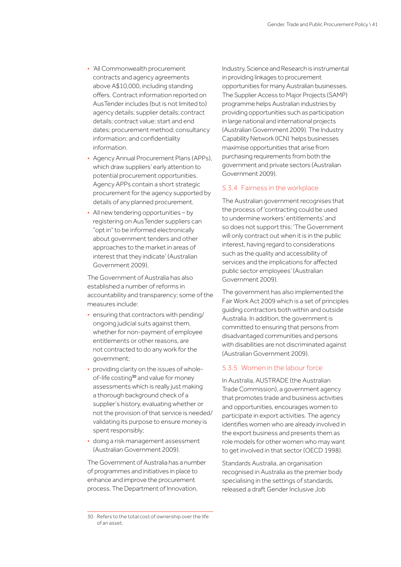- 'All Commonwealth procurement contracts and agency agreements above A\$10,000, including standing offers. Contract information reported on AusTender includes (but is not limited to) agency details; supplier details; contract details; contract value; start and end dates; procurement method; consultancy information; and confidentiality information.
- Agency Annual Procurement Plans (APPs), which draw suppliers' early attention to potential procurement opportunities. Agency APPs contain a short strategic procurement for the agency supported by details of any planned procurement.
- All new tendering opportunities by registering on AusTender suppliers can "opt in" to be informed electronically about government tenders and other approaches to the market in areas of interest that they indicate' (Australian Government 2009).

The Government of Australia has also established a number of reforms in accountability and transparency; some of the measures include:

- ensuring that contractors with pending/ ongoing judicial suits against them, whether for non-payment of employee entitlements or other reasons, are not contracted to do any work for the government;
- providing clarity on the issues of wholeof-life costing<sup>30</sup> and value for money assessments which is really just making a thorough background check of a supplier's history, evaluating whether or not the provision of that service is needed/ validating its purpose to ensure money is spent responsibly;
- doing a risk management assessment (Australian Government 2009).

The Government of Australia has a number of programmes and initiatives in place to enhance and improve the procurement process. The Department of Innovation,

Industry, Science and Research is instrumental in providing linkages to procurement opportunities for many Australian businesses. The Supplier Access to Major Projects (SAMP) programme helps Australian industries by providing opportunities such as participation in large national and international projects (Australian Government 2009). The Industry Capability Network (ICN) 'helps businesses maximise opportunities that arise from purchasing requirements from both the government and private sectors (Australian Government 2009).

#### 5.3.4 Fairness in the workplace

The Australian government recognises that the process of 'contracting could be used to undermine workers' entitlements' and so does not support this: 'The Government will only contract out when it is in the public interest, having regard to considerations such as the quality and accessibility of services and the implications for affected public sector employees' (Australian Government 2009).

The government has also implemented the Fair Work Act 2009 which is a set of principles guiding contractors both within and outside Australia. In addition, the government is committed to ensuring that persons from disadvantaged communities and persons with disabilities are not discriminated against (Australian Government 2009).

#### 5.3.5 Women in the labour force

In Australia, AUSTRADE (the Australian Trade Commission), a government agency that promotes trade and business activities and opportunities, encourages women to participate in export activities. The agency identifies women who are already involved in the export business and presents them as role models for other women who may want to get involved in that sector (OECD 1998).

Standards Australia, an organisation recognised in Australia as the premier body specialising in the settings of standards, released a draft Gender Inclusive Job

<sup>30</sup> Refers to the total cost of ownership over the life of an asset.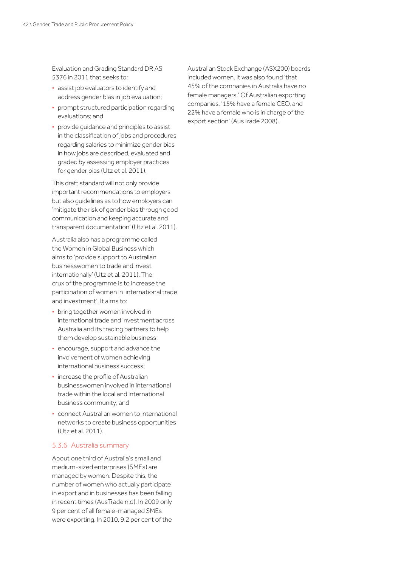Evaluation and Grading Standard DR AS 5376 in 2011 that seeks to:

- assist job evaluators to identify and address gender bias in job evaluation;
- prompt structured participation regarding evaluations; and
- provide guidance and principles to assist in the classification of jobs and procedures regarding salaries to minimize gender bias in how jobs are described, evaluated and graded by assessing employer practices for gender bias (Utz et al. 2011).

This draft standard will not only provide important recommendations to employers but also guidelines as to how employers can 'mitigate the risk of gender bias through good communication and keeping accurate and transparent documentation' (Utz et al. 2011).

Australia also has a programme called the Women in Global Business which aims to 'provide support to Australian businesswomen to trade and invest internationally' (Utz et al. 2011). The crux of the programme is to increase the participation of women in 'international trade and investment'. It aims to:

- bring together women involved in international trade and investment across Australia and its trading partners to help them develop sustainable business;
- encourage, support and advance the involvement of women achieving international business success;
- increase the profile of Australian businesswomen involved in international trade within the local and international business community; and
- connect Australian women to international networks to create business opportunities (Utz et al. 2011).

#### 5.3.6 Australia summary

About one third of Australia's small and medium-sized enterprises (SMEs) are managed by women. Despite this, the number of women who actually participate in export and in businesses has been falling in recent times (AusTrade n.d). In 2009 only 9 per cent of all female-managed SMEs were exporting. In 2010, 9.2 per cent of the

Australian Stock Exchange (ASX200) boards included women. It was also found 'that 45% of the companies in Australia have no female managers.' Of Australian exporting companies, '15% have a female CEO, and 22% have a female who is in charge of the export section' (AusTrade 2008).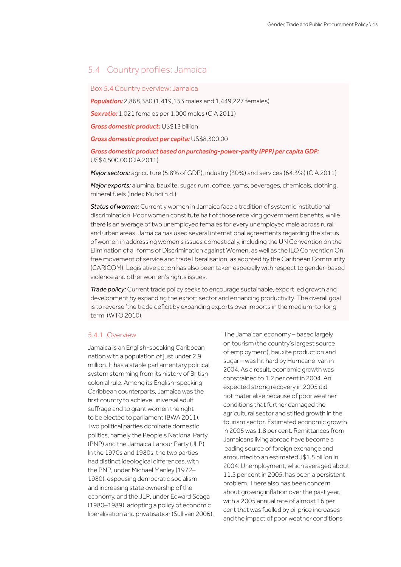### 5.4 Country profiles: Jamaica

Box 5.4 Country overview: Jamaica

*Population:* 2,868,380 (1,419,153 males and 1,449,227 females)

*Sex ratio:* 1,021 females per 1,000 males (CIA 2011)

*Gross domestic product:* US\$13 billion

*Gross domestic product per capita:* US\$8,300.00

*Gross domestic product based on purchasing-power-parity (PPP) per capita GDP:* US\$4,500.00 (CIA 2011)

*Major sectors:* agriculture (5.8% of GDP), industry (30%) and services (64.3%) (CIA 2011)

*Major exports:* alumina, bauxite, sugar, rum, coffee, yams, beverages, chemicals, clothing, mineral fuels (Index Mundi n.d.).

*Status of women:* Currently women in Jamaica face a tradition of systemic institutional discrimination. Poor women constitute half of those receiving government benefits, while there is an average of two unemployed females for every unemployed male across rural and urban areas. Jamaica has used several international agreements regarding the status of women in addressing women's issues domestically, including the UN Convention on the Elimination of all forms of Discrimination against Women, as well as the ILO Convention On free movement of service and trade liberalisation, as adopted by the Caribbean Community (CARICOM). Legislative action has also been taken especially with respect to gender-based violence and other women's rights issues.

*Trade policy:* Current trade policy seeks to encourage sustainable, export led growth and development by expanding the export sector and enhancing productivity. The overall goal is to reverse 'the trade deficit by expanding exports over imports in the medium-to-long term' (WTO 2010).

#### 5.4.1 Overview

Jamaica is an English-speaking Caribbean nation with a population of just under 2.9 million. It has a stable parliamentary political system stemming from its history of British colonial rule. Among its English-speaking Caribbean counterparts, Jamaica was the first country to achieve universal adult suffrage and to grant women the right to be elected to parliament (BWA 2011). Two political parties dominate domestic politics, namely the People's National Party (PNP) and the Jamaica Labour Party (JLP). In the 1970s and 1980s, the two parties had distinct ideological differences, with the PNP, under Michael Manley (1972– 1980), espousing democratic socialism and increasing state ownership of the economy, and the JLP, under Edward Seaga (1980–1989), adopting a policy of economic liberalisation and privatisation (Sullivan 2006). The Jamaican economy – based largely on tourism (the country's largest source of employment), bauxite production and sugar – was hit hard by Hurricane Ivan in 2004. As a result, economic growth was constrained to 1.2 per cent in 2004. An expected strong recovery in 2005 did not materialise because of poor weather conditions that further damaged the agricultural sector and stifled growth in the tourism sector. Estimated economic growth in 2005 was 1.8 per cent. Remittances from Jamaicans living abroad have become a leading source of foreign exchange and amounted to an estimated J\$1.5 billion in 2004. Unemployment, which averaged about 11.5 per cent in 2005, has been a persistent problem. There also has been concern about growing inflation over the past year, with a 2005 annual rate of almost 16 per cent that was fuelled by oil price increases and the impact of poor weather conditions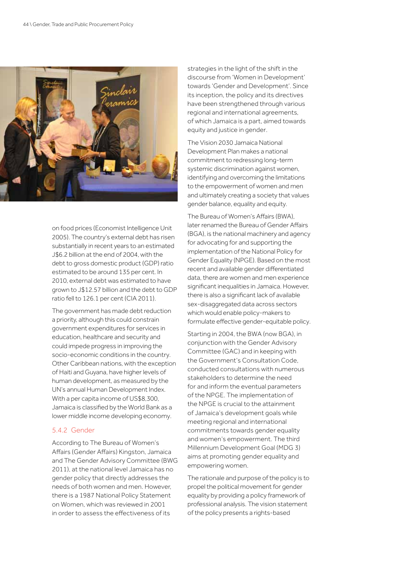

on food prices (Economist Intelligence Unit 2005). The country's external debt has risen substantially in recent years to an estimated J\$6.2 billion at the end of 2004, with the debt to gross domestic product (GDP) ratio estimated to be around 135 per cent. In 2010, external debt was estimated to have grown to J\$12.57 billion and the debt to GDP ratio fell to 126.1 per cent (CIA 2011).

The government has made debt reduction a priority, although this could constrain government expenditures for services in education, healthcare and security and could impede progress in improving the socio-economic conditions in the country. Other Caribbean nations, with the exception of Haiti and Guyana, have higher levels of human development, as measured by the UN's annual Human Development Index. With a per capita income of US\$8,300, Jamaica is classified by the World Bank as a lower middle income developing economy.

#### 5.4.2 Gender

According to The Bureau of Women's Affairs (Gender Affairs) Kingston, Jamaica and The Gender Advisory Committee (BWG 2011), at the national level Jamaica has no gender policy that directly addresses the needs of both women and men. However, there is a 1987 National Policy Statement on Women, which was reviewed in 2001 in order to assess the effectiveness of its

strategies in the light of the shift in the discourse from 'Women in Development' towards 'Gender and Development'. Since its inception, the policy and its directives have been strengthened through various regional and international agreements, of which Jamaica is a part, aimed towards equity and justice in gender.

The Vision 2030 Jamaica National Development Plan makes a national commitment to redressing long-term systemic discrimination against women, identifying and overcoming the limitations to the empowerment of women and men and ultimately creating a society that values gender balance, equality and equity.

The Bureau of Women's Affairs (BWA), later renamed the Bureau of Gender Affairs (BGA), is the national machinery and agency for advocating for and supporting the implementation of the National Policy for Gender Equality (NPGE). Based on the most recent and available gender differentiated data, there are women and men experience significant inequalities in Jamaica. However, there is also a significant lack of available sex-disaggregated data across sectors which would enable policy-makers to formulate effective gender-equitable policy.

Starting in 2004, the BWA (now BGA), in conjunction with the Gender Advisory Committee (GAC) and in keeping with the Government's Consultation Code, conducted consultations with numerous stakeholders to determine the need for and inform the eventual parameters of the NPGE. The implementation of the NPGE is crucial to the attainment of Jamaica's development goals while meeting regional and international commitments towards gender equality and women's empowerment. The third Millennium Development Goal (MDG 3) aims at promoting gender equality and empowering women.

The rationale and purpose of the policy is to propel the political movement for gender equality by providing a policy framework of professional analysis. The vision statement of the policy presents a rights-based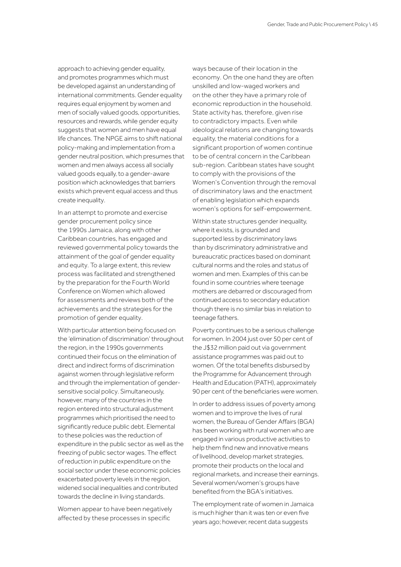approach to achieving gender equality, and promotes programmes which must be developed against an understanding of international commitments. Gender equality requires equal enjoyment by women and men of socially valued goods, opportunities, resources and rewards, while gender equity suggests that women and men have equal life chances. The NPGE aims to shift national policy-making and implementation from a gender neutral position, which presumes that women and men always access all socially valued goods equally, to a gender-aware position which acknowledges that barriers exists which prevent equal access and thus create inequality.

In an attempt to promote and exercise gender procurement policy since the 1990s Jamaica, along with other Caribbean countries, has engaged and reviewed governmental policy towards the attainment of the goal of gender equality and equity. To a large extent, this review process was facilitated and strengthened by the preparation for the Fourth World Conference on Women which allowed for assessments and reviews both of the achievements and the strategies for the promotion of gender equality.

With particular attention being focused on the 'elimination of discrimination' throughout the region, in the 1990s governments continued their focus on the elimination of direct and indirect forms of discrimination against women through legislative reform and through the implementation of gendersensitive social policy. Simultaneously, however, many of the countries in the region entered into structural adjustment programmes which prioritised the need to significantly reduce public debt. Elemental to these policies was the reduction of expenditure in the public sector as well as the freezing of public sector wages. The effect of reduction in public expenditure on the social sector under these economic policies exacerbated poverty levels in the region, widened social inequalities and contributed towards the decline in living standards.

Women appear to have been negatively affected by these processes in specific

ways because of their location in the economy. On the one hand they are often unskilled and low-waged workers and on the other they have a primary role of economic reproduction in the household. State activity has, therefore, given rise to contradictory impacts. Even while ideological relations are changing towards equality, the material conditions for a significant proportion of women continue to be of central concern in the Caribbean sub-region. Caribbean states have sought to comply with the provisions of the Women's Convention through the removal of discriminatory laws and the enactment of enabling legislation which expands women's options for self-empowerment.

Within state structures gender inequality, where it exists, is grounded and supported less by discriminatory laws than by discriminatory administrative and bureaucratic practices based on dominant cultural norms and the roles and status of women and men. Examples of this can be found in some countries where teenage mothers are debarred or discouraged from continued access to secondary education though there is no similar bias in relation to teenage fathers.

Poverty continues to be a serious challenge for women. In 2004 just over 50 per cent of the J\$32 million paid out via government assistance programmes was paid out to women. Of the total benefits disbursed by the Programme for Advancement through Health and Education (PATH), approximately 90 per cent of the beneficiaries were women.

In order to address issues of poverty among women and to improve the lives of rural women, the Bureau of Gender Affairs (BGA) has been working with rural women who are engaged in various productive activities to help them find new and innovative means of livelihood, develop market strategies, promote their products on the local and regional markets, and increase their earnings. Several women/women's groups have benefited from the BGA's initiatives.

The employment rate of women in Jamaica is much higher than it was ten or even five years ago; however, recent data suggests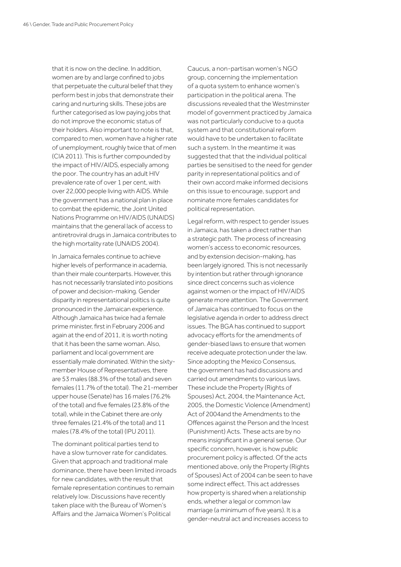that it is now on the decline. In addition women are by and large confined to jobs that perpetuate the cultural belief that they perform best in jobs that demonstrate their caring and nurturing skills. These jobs are further categorised as low paying jobs that do not improve the economic status of their holders. Also important to note is that, compared to men, women have a higher rate of unemployment, roughly twice that of men (CIA 2011). This is further compounded by the impact of HIV/AIDS, especially among the poor. The country has an adult HIV prevalence rate of over 1 per cent, with over 22,000 people living with AIDS. While the government has a national plan in place to combat the epidemic, the Joint United Nations Programme on HIV/AIDS (UNAIDS) maintains that the general lack of access to antiretroviral drugs in Jamaica contributes to the high mortality rate (UNAIDS 2004).

In Jamaica females continue to achieve higher levels of performance in academia, than their male counterparts. However, this has not necessarily translated into positions of power and decision-making. Gender disparity in representational politics is quite pronounced in the Jamaican experience. Although Jamaica has twice had a female prime minister, first in February 2006 and again at the end of 2011, it is worth noting that it has been the same woman. Also, parliament and local government are essentially male dominated. Within the sixtymember House of Representatives, there are 53 males (88.3% of the total) and seven females (11.7% of the total). The 21-member upper house (Senate) has 16 males (76.2% of the total) and five females (23.8% of the total), while in the Cabinet there are only three females (21.4% of the total) and 11 males (78.4% of the total) (IPU 2011).

The dominant political parties tend to have a slow turnover rate for candidates. Given that approach and traditional male dominance, there have been limited inroads for new candidates, with the result that female representation continues to remain relatively low. Discussions have recently taken place with the Bureau of Women's Affairs and the Jamaica Women's Political

Caucus, a non-partisan women's NGO group, concerning the implementation of a quota system to enhance women's participation in the political arena. The discussions revealed that the Westminster model of government practiced by Jamaica was not particularly conducive to a quota system and that constitutional reform would have to be undertaken to facilitate such a system. In the meantime it was suggested that that the individual political parties be sensitised to the need for gender parity in representational politics and of their own accord make informed decisions on this issue to encourage, support and nominate more females candidates for political representation.

Legal reform, with respect to gender issues in Jamaica, has taken a direct rather than a strategic path. The process of increasing women's access to economic resources, and by extension decision-making, has been largely ignored. This is not necessarily by intention but rather through ignorance since direct concerns such as violence against women or the impact of HIV/AIDS generate more attention. The Government of Jamaica has continued to focus on the legislative agenda in order to address direct issues. The BGA has continued to support advocacy efforts for the amendments of gender-biased laws to ensure that women receive adequate protection under the law. Since adopting the Mexico Consensus, the government has had discussions and carried out amendments to various laws. These include the Property (Rights of Spouses) Act, 2004, the Maintenance Act, 2005, the Domestic Violence (Amendment) Act of 2004and the Amendments to the Offences against the Person and the Incest (Punishment) Acts. These acts are by no means insignificant in a general sense. Our specific concern, however, is how public procurement policy is affected. Of the acts mentioned above, only the Property (Rights of Spouses) Act of 2004 can be seen to have some indirect effect. This act addresses how property is shared when a relationship ends, whether a legal or common law marriage (a minimum of five years). It is a gender-neutral act and increases access to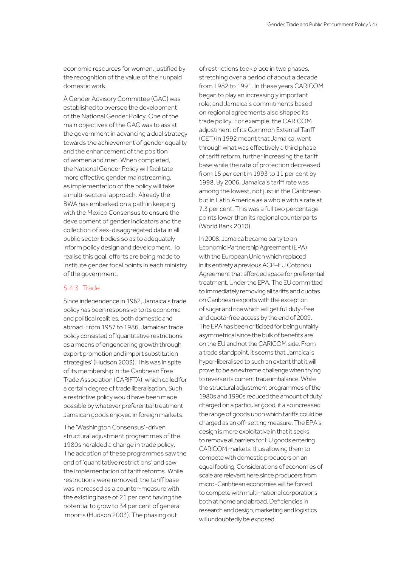economic resources for women, justified by the recognition of the value of their unpaid domestic work.

A Gender Advisory Committee (GAC) was established to oversee the development of the National Gender Policy. One of the main objectives of the GAC was to assist the government in advancing a dual strategy towards the achievement of gender equality and the enhancement of the position of women and men. When completed, the National Gender Policy will facilitate more effective gender mainstreaming, as implementation of the policy will take a multi-sectoral approach. Already the BWA has embarked on a path in keeping with the Mexico Consensus to ensure the development of gender indicators and the collection of sex-disaggregated data in all public sector bodies so as to adequately inform policy design and development. To realise this goal, efforts are being made to institute gender focal points in each ministry of the government.

#### 5.4.3 Trade

Since independence in 1962, Jamaica's trade policy has been responsive to its economic and political realities, both domestic and abroad. From 1957 to 1986, Jamaican trade policy consisted of 'quantitative restrictions as a means of engendering growth through export promotion and import substitution strategies' (Hudson 2003). This was in spite of its membership in the Caribbean Free Trade Association (CARIFTA), which called for a certain degree of trade liberalisation. Such a restrictive policy would have been made possible by whatever preferential treatment Jamaican goods enjoyed in foreign markets.

The 'Washington Consensus'-driven structural adjustment programmes of the 1980s heralded a change in trade policy. The adoption of these programmes saw the end of 'quantitative restrictions' and saw the implementation of tariff reforms. While restrictions were removed, the tariff base was increased as a counter-measure with the existing base of 21 per cent having the potential to grow to 34 per cent of general imports (Hudson 2003). The phasing out

of restrictions took place in two phases, stretching over a period of about a decade from 1982 to 1991. In these years CARICOM began to play an increasingly important role; and Jamaica's commitments based on regional agreements also shaped its trade policy. For example, the CARICOM adjustment of its Common External Tariff (CET) in 1992 meant that Jamaica, went through what was effectively a third phase of tariff reform, further increasing the tariff base while the rate of protection decreased from 15 per cent in 1993 to 11 per cent by 1998. By 2006, Jamaica's tariff rate was among the lowest, not just in the Caribbean but in Latin America as a whole with a rate at 7.3 per cent. This was a full two percentage points lower than its regional counterparts (World Bank 2010).

In 2008, Jamaica became party to an Economic Partnership Agreement (EPA) with the European Union which replaced in its entirety a previous ACP–EU Cotonou Agreement that afforded space for preferential treatment. Under the EPA, The EU committed to immediately removing all tariffs and quotas on Caribbean exports with the exception of sugar and rice which will get full duty-free and quota-free access by the end of 2009. The EPA has been criticised for being unfairly asymmetrical since the bulk of benefits are on the EU and not the CARICOM side. From a trade standpoint, it seems that Jamaica is hyper-liberalised to such an extent that it will prove to be an extreme challenge when trying to reverse its current trade imbalance. While the structural adjustment programmes of the 1980s and 1990s reduced the amount of duty charged on a particular good, it also increased the range of goods upon which tariffs could be charged as an off-setting measure. The EPA's design is more exploitative in that it seeks to remove all barriers for EU goods entering CARICOM markets, thus allowing them to compete with domestic producers on an equal footing. Considerations of economies of scale are relevant here since producers from micro-Caribbean economies will be forced to compete with multi-national corporations both at home and abroad. Deficiencies in research and design, marketing and logistics will undoubtedly be exposed.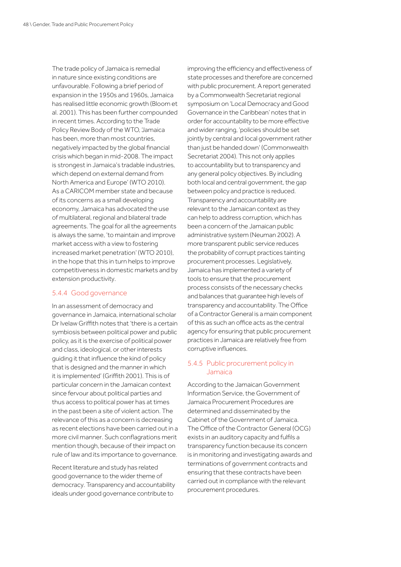The trade policy of Jamaica is remedial in nature since existing conditions are unfavourable. Following a brief period of expansion in the 1950s and 1960s, Jamaica has realised little economic growth (Bloom et al. 2001). This has been further compounded in recent times. According to the Trade Policy Review Body of the WTO, 'Jamaica has been, more than most countries, negatively impacted by the global financial crisis which began in mid-2008. The impact is strongest in Jamaica's tradable industries, which depend on external demand from North America and Europe' (WTO 2010). As a CARICOM member state and because of its concerns as a small developing economy, Jamaica has advocated the use of multilateral, regional and bilateral trade agreements. The goal for all the agreements is always the same, 'to maintain and improve market access with a view to fostering increased market penetration' (WTO 2010), in the hope that this in turn helps to improve competitiveness in domestic markets and by extension productivity.

#### 5.4.4 Good governance

In an assessment of democracy and governance in Jamaica, international scholar Dr Ivelaw Griffith notes that 'there is a certain symbiosis between political power and public policy, as it is the exercise of political power and class, ideological, or other interests guiding it that influence the kind of policy that is designed and the manner in which it is implemented' (Griffith 2001). This is of particular concern in the Jamaican context since fervour about political parties and thus access to political power has at times in the past been a site of violent action. The relevance of this as a concern is decreasing as recent elections have been carried out in a more civil manner. Such conflagrations merit mention though, because of their impact on rule of law and its importance to governance.

Recent literature and study has related good governance to the wider theme of democracy. Transparency and accountability ideals under good governance contribute to

improving the efficiency and effectiveness of state processes and therefore are concerned with public procurement. A report generated by a Commonwealth Secretariat regional symposium on 'Local Democracy and Good Governance in the Caribbean' notes that in order for accountability to be more effective and wider ranging, 'policies should be set jointly by central and local government rather than just be handed down' (Commonwealth Secretariat 2004). This not only applies to accountability but to transparency and any general policy objectives. By including both local and central government, the gap between policy and practice is reduced. Transparency and accountability are relevant to the Jamaican context as they can help to address corruption, which has been a concern of the Jamaican public administrative system (Neuman 2002). A more transparent public service reduces the probability of corrupt practices tainting procurement processes. Legislatively, Jamaica has implemented a variety of tools to ensure that the procurement process consists of the necessary checks and balances that guarantee high levels of transparency and accountability. The Office of a Contractor General is a main component of this as such an office acts as the central agency for ensuring that public procurement practices in Jamaica are relatively free from corruptive influences.

#### 5.4.5 Public procurement policy in Jamaica

According to the Jamaican Government Information Service, the Government of Jamaica Procurement Procedures are determined and disseminated by the Cabinet of the Government of Jamaica. The Office of the Contractor General (OCG) exists in an auditory capacity and fulfils a transparency function because its concern is in monitoring and investigating awards and terminations of government contracts and ensuring that these contracts have been carried out in compliance with the relevant procurement procedures.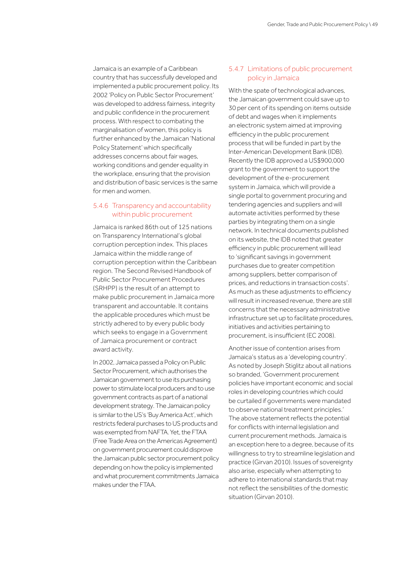Jamaica is an example of a Caribbean country that has successfully developed and implemented a public procurement policy. Its 2002 'Policy on Public Sector Procurement' was developed to address fairness, integrity and public confidence in the procurement process. With respect to combating the marginalisation of women, this policy is further enhanced by the Jamaican 'National Policy Statement' which specifically addresses concerns about fair wages, working conditions and gender equality in the workplace, ensuring that the provision and distribution of basic services is the same for men and women.

#### 5.4.6 Transparency and accountability within public procurement

Jamaica is ranked 86th out of 125 nations on Transparency International's global corruption perception index. This places Jamaica within the middle range of corruption perception within the Caribbean region. The Second Revised Handbook of Public Sector Procurement Procedures (SRHPP) is the result of an attempt to make public procurement in Jamaica more transparent and accountable. It contains the applicable procedures which must be strictly adhered to by every public body which seeks to engage in a Government of Jamaica procurement or contract award activity.

In 2002, Jamaica passed a Policy on Public Sector Procurement, which authorises the Jamaican government to use its purchasing power to stimulate local producers and to use government contracts as part of a national development strategy. The Jamaican policy is similar to the US's 'Buy America Act', which restricts federal purchases to US products and was exempted from NAFTA. Yet, the FTAA (Free Trade Area on the Americas Agreement) on government procurement could disprove the Jamaican public sector procurement policy depending on how the policy is implemented and what procurement commitments Jamaica makes under the FTAA.

#### 5.4.7 Limitations of public procurement policy in Jamaica

With the spate of technological advances, the Jamaican government could save up to 30 per cent of its spending on items outside of debt and wages when it implements an electronic system aimed at improving efficiency in the public procurement process that will be funded in part by the Inter-American Development Bank (IDB). Recently the IDB approved a US\$900,000 grant to the government to support the development of the e-procurement system in Jamaica, which will provide a single portal to government procuring and tendering agencies and suppliers and will automate activities performed by these parties by integrating them on a single network. In technical documents published on its website, the IDB noted that greater efficiency in public procurement will lead to 'significant savings in government purchases due to greater competition among suppliers, better comparison of prices, and reductions in transaction costs'. As much as these adjustments to efficiency will result in increased revenue, there are still concerns that the necessary administrative infrastructure set up to facilitate procedures, initiatives and activities pertaining to procurement, is insufficient (EC 2008).

Another issue of contention arises from Jamaica's status as a 'developing country'. As noted by Joseph Stiglitz about all nations so branded, 'Government procurement policies have important economic and social roles in developing countries which could be curtailed if governments were mandated to observe national treatment principles.' The above statement reflects the potential for conflicts with internal legislation and current procurement methods. Jamaica is an exception here to a degree, because of its willingness to try to streamline legislation and practice (Girvan 2010). Issues of sovereignty also arise, especially when attempting to adhere to international standards that may not reflect the sensibilities of the domestic situation (Girvan 2010).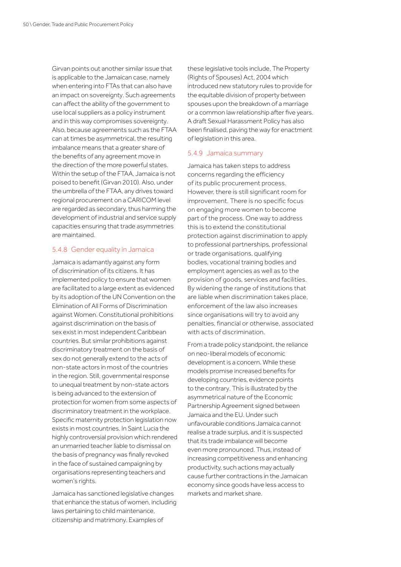Girvan points out another similar issue that is applicable to the Jamaican case, namely when entering into FTAs that can also have an impact on sovereignty. Such agreements can affect the ability of the government to use local suppliers as a policy instrument and in this way compromises sovereignty. Also, because agreements such as the FTAA can at times be asymmetrical, the resulting imbalance means that a greater share of the benefits of any agreement move in the direction of the more powerful states. Within the setup of the FTAA, Jamaica is not poised to benefit (Girvan 2010). Also, under the umbrella of the FTAA, any drives toward regional procurement on a CARICOM level are regarded as secondary, thus harming the development of industrial and service supply capacities ensuring that trade asymmetries are maintained.

#### 5.4.8 Gender equality in Jamaica

Jamaica is adamantly against any form of discrimination of its citizens. It has implemented policy to ensure that women are facilitated to a large extent as evidenced by its adoption of the UN Convention on the Elimination of All Forms of Discrimination against Women. Constitutional prohibitions against discrimination on the basis of sex exist in most independent Caribbean countries. But similar prohibitions against discriminatory treatment on the basis of sex do not generally extend to the acts of non-state actors in most of the countries in the region. Still, governmental response to unequal treatment by non-state actors is being advanced to the extension of protection for women from some aspects of discriminatory treatment in the workplace. Specific maternity protection legislation now exists in most countries. In Saint Lucia the highly controversial provision which rendered an unmarried teacher liable to dismissal on the basis of pregnancy was finally revoked in the face of sustained campaigning by organisations representing teachers and women's rights.

Jamaica has sanctioned legislative changes that enhance the status of women, including laws pertaining to child maintenance, citizenship and matrimony. Examples of

these legislative tools include, The Property (Rights of Spouses) Act, 2004 which introduced new statutory rules to provide for the equitable division of property between spouses upon the breakdown of a marriage or a common law relationship after five years. A draft Sexual Harassment Policy has also been finalised, paving the way for enactment of legislation in this area.

#### 5.4.9 Jamaica summary

Jamaica has taken steps to address concerns regarding the efficiency of its public procurement process. However, there is still significant room for improvement. There is no specific focus on engaging more women to become part of the process. One way to address this is to extend the constitutional protection against discrimination to apply to professional partnerships, professional or trade organisations, qualifying bodies, vocational training bodies and employment agencies as well as to the provision of goods, services and facilities. By widening the range of institutions that are liable when discrimination takes place, enforcement of the law also increases since organisations will try to avoid any penalties, financial or otherwise, associated with acts of discrimination.

From a trade policy standpoint, the reliance on neo-liberal models of economic development is a concern. While these models promise increased benefits for developing countries, evidence points to the contrary. This is illustrated by the asymmetrical nature of the Economic Partnership Agreement signed between Jamaica and the EU. Under such unfavourable conditions Jamaica cannot realise a trade surplus, and it is suspected that its trade imbalance will become even more pronounced. Thus, instead of increasing competitiveness and enhancing productivity, such actions may actually cause further contractions in the Jamaican economy since goods have less access to markets and market share.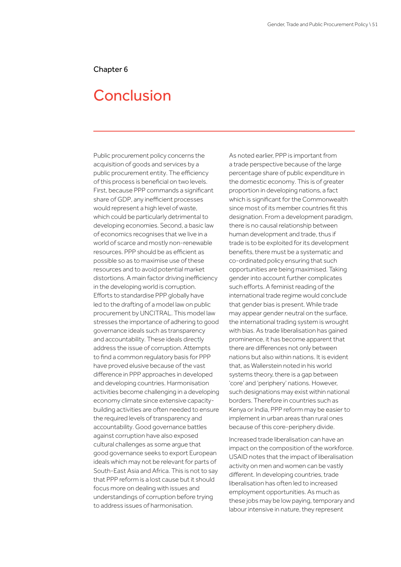#### Chapter 6

## **Conclusion**

Public procurement policy concerns the acquisition of goods and services by a public procurement entity. The efficiency of this process is beneficial on two levels. First, because PPP commands a significant share of GDP, any inefficient processes would represent a high level of waste, which could be particularly detrimental to developing economies. Second, a basic law of economics recognises that we live in a world of scarce and mostly non-renewable resources. PPP should be as efficient as possible so as to maximise use of these resources and to avoid potential market distortions. A main factor driving inefficiency in the developing world is corruption. Efforts to standardise PPP globally have led to the drafting of a model law on public procurement by UNCITRAL. This model law stresses the importance of adhering to good governance ideals such as transparency and accountability. These ideals directly address the issue of corruption. Attempts to find a common regulatory basis for PPP have proved elusive because of the vast difference in PPP approaches in developed and developing countries. Harmonisation activities become challenging in a developing economy climate since extensive capacitybuilding activities are often needed to ensure the required levels of transparency and accountability. Good governance battles against corruption have also exposed cultural challenges as some argue that good governance seeks to export European ideals which may not be relevant for parts of South-East Asia and Africa. This is not to say that PPP reform is a lost cause but it should focus more on dealing with issues and understandings of corruption before trying to address issues of harmonisation.

As noted earlier, PPP is important from a trade perspective because of the large percentage share of public expenditure in the domestic economy. This is of greater proportion in developing nations, a fact which is significant for the Commonwealth since most of its member countries fit this designation. From a development paradigm, there is no causal relationship between human development and trade, thus if trade is to be exploited for its development benefits, there must be a systematic and co-ordinated policy ensuring that such opportunities are being maximised. Taking gender into account further complicates such efforts. A feminist reading of the international trade regime would conclude that gender bias is present. While trade may appear gender neutral on the surface, the international trading system is wrought with bias. As trade liberalisation has gained prominence, it has become apparent that there are differences not only between nations but also within nations. It is evident that, as Wallerstein noted in his world systems theory, there is a gap between 'core' and 'periphery' nations. However, such designations may exist within national borders. Therefore in countries such as Kenya or India, PPP reform may be easier to implement in urban areas than rural ones because of this core-periphery divide.

Increased trade liberalisation can have an impact on the composition of the workforce. USAID notes that the impact of liberalisation activity on men and women can be vastly different. In developing countries, trade liberalisation has often led to increased employment opportunities. As much as these jobs may be low paying, temporary and labour intensive in nature, they represent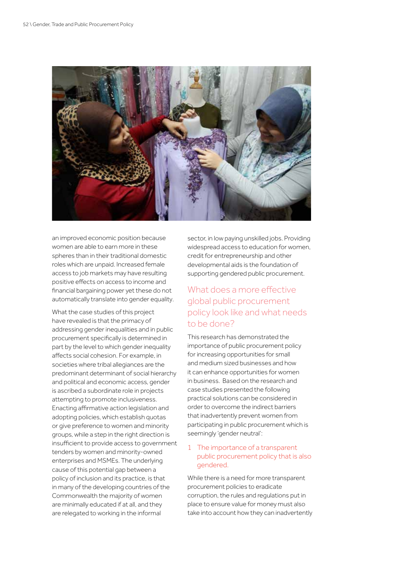

an improved economic position because women are able to earn more in these spheres than in their traditional domestic roles which are unpaid. Increased female access to job markets may have resulting positive effects on access to income and financial bargaining power yet these do not automatically translate into gender equality.

What the case studies of this project have revealed is that the primacy of addressing gender inequalities and in public procurement specifically is determined in part by the level to which gender inequality affects social cohesion. For example, in societies where tribal allegiances are the predominant determinant of social hierarchy and political and economic access, gender is ascribed a subordinate role in projects attempting to promote inclusiveness. Enacting affirmative action legislation and adopting policies, which establish quotas or give preference to women and minority groups, while a step in the right direction is insufficient to provide access to government tenders by women and minority-owned enterprises and MSMEs. The underlying cause of this potential gap between a policy of inclusion and its practice, is that in many of the developing countries of the Commonwealth the majority of women are minimally educated if at all, and they are relegated to working in the informal

sector, in low paying unskilled jobs. Providing widespread access to education for women, credit for entrepreneurship and other developmental aids is the foundation of supporting gendered public procurement.

## What does a more effective global public procurement policy look like and what needs to be done?

This research has demonstrated the importance of public procurement policy for increasing opportunities for small and medium sized businesses and how it can enhance opportunities for women in business. Based on the research and case studies presented the following practical solutions can be considered in order to overcome the indirect barriers that inadvertently prevent women from participating in public procurement which is seemingly 'gender neutral':

#### 1 The importance of a transparent public procurement policy that is also gendered.

While there is a need for more transparent procurement policies to eradicate corruption, the rules and regulations put in place to ensure value for money must also take into account how they can inadvertently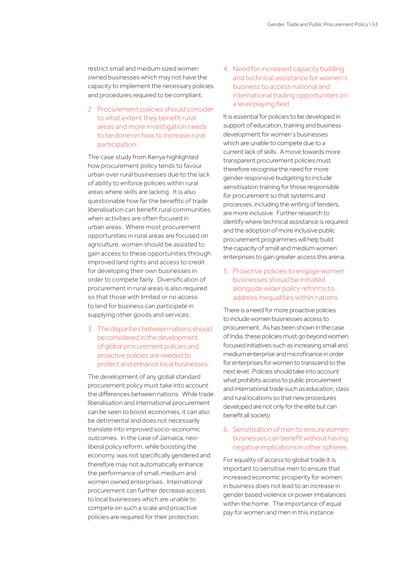restrict small and medium sized women owned businesses which may not have the capacity to implement the necessary policies and procedures required to be compliant.

2 Procurement policies should consider to what extent they benefit rural areas and more investigation needs to be done on how to increase rural participation.

The case study from Kenya highlighted how procurement policy tends to favour urban over rural businesses due to the lack of ability to enforce policies within rural areas where skills are lacking. It is also questionable how far the benefits of trade liberalisation can benefit rural communities when activities are often focused in urban areas. Where most procurement opportunities in rural areas are focused on agriculture, women should be assisted to gain access to these opportunities through improved land rights and access to credit for developing their own businesses in order to compete fairly. Diversification of procurement in rural areas is also required so that those with limited or no access to land for business can participate in supplying other goods and services.

3 The disparities between nations should be considered in the development of global procurement policies and proactive policies are needed to protect and enhance local businesses.

The development of any global standard procurement policy must take into account the differences between nations. While trade liberalisation and international procurement can be seen to boost economies, it can also be detrimental and does not necessarily translate into improved socio-economic outcomes. In the case of Jamaica, neoliberal policy reform, while boosting the economy, was not specifically gendered and therefore may not automatically enhance the performance of small, medium and women owned enterprises. International procurement can further decrease access to local businesses which are unable to compete on such a scale and proactive policies are required for their protection.

4. Need for increased capacity building and technical assistance for women's business to access national and international trading opportunities on a level playing field

It is essential for policies to be developed in support of education, training and business development for women's businesses which are unable to compete due to a current lack of skills. A move towards more transparent procurement policies must therefore recognise the need for more gender responsive budgeting to include sensitisation training for those responsible for procurement so that systems and processes, including the writing of tenders, are more inclusive. Further research to identify where technical assistance is required and the adoption of more inclusive public procurement programmes will help build the capacity of small and medium women enterprises to gain greater access this arena.

5. Proactive policies to engage women businesses should be initiated alongside wider policy reforms to address inequalities within nations

There is a need for more proactive policies to include women businesses access to procurement. As has been shown in the case of India, these policies must go beyond women focused initiatives such as increasing small and medium enterprise and microfinance in order for enterprises for women to transcend to the next level. Policies should take into account what prohibits access to public procurement and international trade such as education, class and rural locations so that new procedures developed are not only for the elite but can benefit all society.

#### 6. Sensitisation of men to ensure women businesses can benefit without having negative implications in other spheres

For equality of access to global trade it is important to sensitise men to ensure that increased economic prosperity for women in business does not lead to an increase in gender based violence or power imbalances within the home. The importance of equal pay for women and men in this instance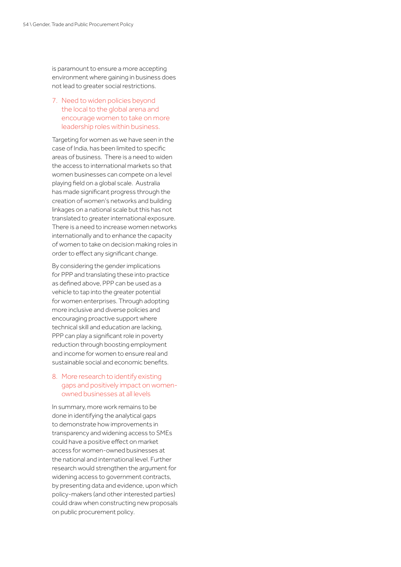is paramount to ensure a more accepting environment where gaining in business does not lead to greater social restrictions.

7. Need to widen policies beyond the local to the global arena and encourage women to take on more leadership roles within business.

Targeting for women as we have seen in the case of India, has been limited to specific areas of business. There is a need to widen the access to international markets so that women businesses can compete on a level playing field on a global scale. Australia has made significant progress through the creation of women's networks and building linkages on a national scale but this has not translated to greater international exposure. There is a need to increase women networks internationally and to enhance the capacity of women to take on decision making roles in order to effect any significant change.

By considering the gender implications for PPP and translating these into practice as defined above, PPP can be used as a vehicle to tap into the greater potential for women enterprises. Through adopting more inclusive and diverse policies and encouraging proactive support where technical skill and education are lacking, PPP can play a significant role in poverty reduction through boosting employment and income for women to ensure real and sustainable social and economic benefits.

#### 8. More research to identify existing gaps and positively impact on womenowned businesses at all levels

In summary, more work remains to be done in identifying the analytical gaps to demonstrate how improvements in transparency and widening access to SMEs could have a positive effect on market access for women-owned businesses at the national and international level. Further research would strengthen the argument for widening access to government contracts, by presenting data and evidence, upon which policy-makers (and other interested parties) could draw when constructing new proposals on public procurement policy.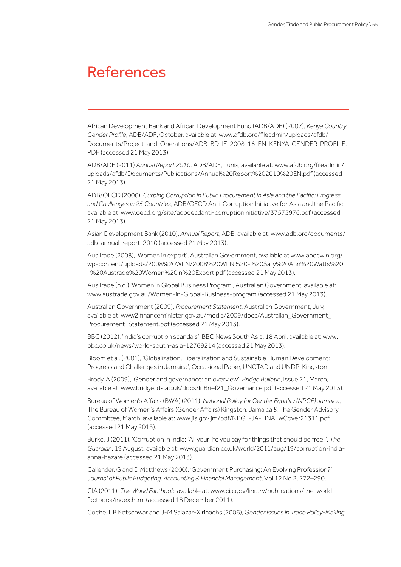## References

African Development Bank and African Development Fund (ADB/ADF) (2007), *Kenya Country Gender Profile*, ADB/ADF, October, available at: www.afdb.org/fileadmin/uploads/afdb/ Documents/Project-and-Operations/ADB-BD-IF-2008-16-EN-KENYA-GENDER-PROFILE. PDF (accessed 21 May 2013).

ADB/ADF (2011) *Annual Report 2010*, ADB/ADF, Tunis, available at: www.afdb.org/fileadmin/ uploads/afdb/Documents/Publications/Annual%20Report%202010%20EN.pdf (accessed 21 May 2013).

ADB/OECD (2006), *Curbing Corruption in Public Procurement in Asia and the Pacific: Progress and Challenges in 25 Countries*, ADB/OECD Anti-Corruption Initiative for Asia and the Pacific, available at: www.oecd.org/site/adboecdanti-corruptioninitiative/37575976.pdf (accessed 21 May 2013).

Asian Development Bank (2010), *Annual Report*, ADB, available at: www.adb.org/documents/ adb-annual-report-2010 (accessed 21 May 2013).

AusTrade (2008), 'Women in export', Australian Government, available at www.apecwln.org/ wp-content/uploads/2008%20WLN/2008%20WLN%20-%20Sally%20Ann%20Watts%20 -%20Austrade%20Women%20in%20Export.pdf (accessed 21 May 2013).

AusTrade (n.d.) 'Women in Global Business Program', Australian Government, available at: www.austrade.gov.au/Women-in-Global-Business-program (accessed 21 May 2013).

Australian Government (2009), *Procurement Statement*, Australian Government, July, available at: www2.financeminister.gov.au/media/2009/docs/Australian\_Government\_ Procurement\_Statement.pdf (accessed 21 May 2013).

BBC (2012), 'India's corruption scandals', BBC News South Asia, 18 April, available at: www. bbc.co.uk/news/world-south-asia-12769214 (accessed 21 May 2013).

Bloom et al. (2001), 'Globalization, Liberalization and Sustainable Human Development: Progress and Challenges in Jamaica', Occasional Paper, UNCTAD and UNDP, Kingston.

Brody, A (2009), 'Gender and governance: an overview', *Bridge Bulletin*, Issue 21, March, available at: www.bridge.ids.ac.uk/docs/InBrief21\_Governance.pdf (accessed 21 May 2013).

Bureau of Women's Affairs (BWA) (2011), *National Policy for Gender Equality (NPGE) Jamaica*, The Bureau of Women's Affairs (Gender Affairs) Kingston, Jamaica & The Gender Advisory Committee, March, available at: www.jis.gov.jm/pdf/NPGE-JA-FINALwCover21311.pdf (accessed 21 May 2013).

Burke, J (2011), 'Corruption in India: "All your life you pay for things that should be free"', *The Guardian*, 19 August, available at: www.guardian.co.uk/world/2011/aug/19/corruption-indiaanna-hazare (accessed 21 May 2013).

Callender, G and D Matthews (2000), 'Government Purchasing: An Evolving Profession?' J*ournal of Public Budgeting, Accounting & Financial Management*, Vol 12 No 2, 272–290.

CIA (2011), *The World Factbook*, available at: www.cia.gov/library/publications/the-worldfactbook/index.html (accessed 18 December 2011).

Coche, I, B Kotschwar and J-M Salazar-Xirinachs (2006), G*ender Issues in Trade Policy-Making*,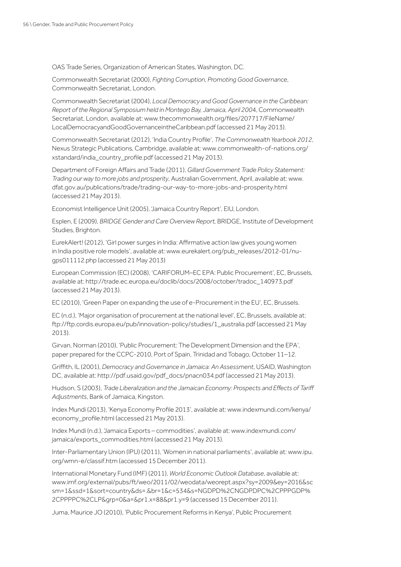OAS Trade Series, Organization of American States, Washington, DC.

Commonwealth Secretariat (2000), *Fighting Corruption, Promoting Good Governance*, Commonwealth Secretariat, London.

Commonwealth Secretariat (2004), *Local Democracy and Good Governance in the Caribbean: Report of the Regional Symposium held in Montego Bay, Jamaica, April 200*4, Commonwealth Secretariat, London, available at: www.thecommonwealth.org/files/207717/FileName/ LocalDemocracyandGoodGovernanceintheCaribbean.pdf (accessed 21 May 2013).

Commonwealth Secretariat (2012), 'India Country Profile', *The Commonwealth Yearbook 2012*, Nexus Strategic Publications, Cambridge, available at: www.commonwealth-of-nations.org/ xstandard/india\_country\_profile.pdf (accessed 21 May 2013).

Department of Foreign Affairs and Trade (2011), *Gillard Government Trade Policy Statement: Trading our way to more jobs and prosperity*, Australian Government, April, available at: www. dfat.gov.au/publications/trade/trading-our-way-to-more-jobs-and-prosperity.html (accessed 21 May 2013).

Economist Intelligence Unit (2005), 'Jamaica Country Report', EIU, London.

Esplen, E (2009), *BRIDGE Gender and Care Overview Report,* BRIDGE, Institute of Development Studies, Brighton.

EurekAlert! (2012), 'Girl power surges in India: Affirmative action law gives young women in India positive role models', available at: www.eurekalert.org/pub\_releases/2012-01/nugps011112.php (accessed 21 May 2013)

European Commission (EC) (2008), 'CARIFORUM–EC EPA: Public Procurement', EC, Brussels, available at: http://trade.ec.europa.eu/doclib/docs/2008/october/tradoc\_140973.pdf (accessed 21 May 2013).

EC (2010), 'Green Paper on expanding the use of e-Procurement in the EU', EC, Brussels.

EC (n.d.), 'Major organisation of procurement at the national level', EC, Brussels, available at: ftp://ftp.cordis.europa.eu/pub/innovation-policy/studies/1\_australia.pdf (accessed 21 May 2013).

Girvan, Norman (2010), 'Public Procurement: The Development Dimension and the EPA', paper prepared for the CCPC-2010, Port of Spain, Trinidad and Tobago, October 11–12.

Griffith, IL (2001), *Democracy and Governance in Jamaica: An Assessment*, USAID, Washington DC, available at: http://pdf.usaid.gov/pdf\_docs/pnacn034.pdf (accessed 21 May 2013).

Hudson, S (2003), *Trade Liberalization and the Jamaican Economy: Prospects and Effects of Tariff Adjustments*, Bank of Jamaica, Kingston.

Index Mundi (2013), 'Kenya Economy Profile 2013', available at: www.indexmundi.com/kenya/ economy\_profile.html (accessed 21 May 2013).

Index Mundi (n.d.), 'Jamaica Exports – commodities', available at: www.indexmundi.com/ jamaica/exports\_commodities.html (accessed 21 May 2013).

Inter-Parliamentary Union (IPU) (2011), 'Women in national parliaments', available at: www.ipu. org/wmn-e/classif.htm (accessed 15 December 2011).

International Monetary Fund (IMF) (2011), *World Economic Outlook Database*, available at: www.imf.org/external/pubs/ft/weo/2011/02/weodata/weorept.aspx?sy=2009&ey=2016&sc sm=1&ssd=1&sort=country&ds=.&br=1&c=534&s=NGDPD%2CNGDPDPC%2CPPPGDP% 2CPPPPC%2CLP&grp=0&a=&pr1.x=88&pr1.y=9 (accessed 15 December 2011).

Juma, Maurice JO (2010), 'Public Procurement Reforms in Kenya', Public Procurement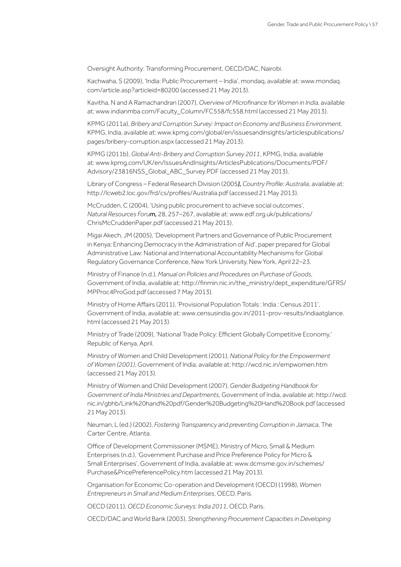Oversight Authority: Transforming Procurement, OECD/DAC, Nairobi.

Kachwaha, S (2009), 'India: Public Procurement – India', mondaq, available at: www.mondaq. com/article.asp?articleid=80200 (accessed 21 May 2013).

Kavitha, N and A Ramachandran (2007), *Overview of Microfinance for Women in India,* available at: www.indianmba.com/Faculty\_Column/FC558/fc558.html (accessed 21 May 2013).

KPMG (2011a), *Bribery and Corruption Survey: Impact on Economy and Business Environment,*  KPMG, India, available at: www.kpmg.com/global/en/issuesandinsights/articlespublications/ pages/bribery-corruption.aspx (accessed 21 May 2013).

KPMG (2011b), *Global Anti-Bribery and Corruption Survey 2011*, KPMG, India, available at: www.kpmg.com/UK/en/IssuesAndInsights/ArticlesPublications/Documents/PDF/ Advisory/23816NSS\_Global\_ABC\_Survey.PDF (accessed 21 May 2013).

Library of Congress – Federal Research Division (2005*), Country Profile: Australia*, available at: http://lcweb2.loc.gov/frd/cs/profiles/Australia.pdf (accessed 21 May 2013).

McCrudden, C (2004), 'Using public procurement to achieve social outcomes', *Natural Resources Forum,* 28, 257–267, available at: www.edf.org.uk/publications/ ChrisMcCruddenPaper.pdf (accessed 21 May 2013).

Migai Akech, JM (2005), 'Development Partners and Governance of Public Procurement in Kenya: Enhancing Democracy in the Administration of Aid', paper prepared for Global Administrative Law: National and International Accountability Mechanisms for Global Regulatory Governance Conference, New York University, New York, April 22–23.

Ministry of Finance (n.d.), *Manual on Policies and Procedures on Purchase of Goods*, Government of India, available at: http://finmin.nic.in/the\_ministry/dept\_expenditure/GFRS/ MPProc4ProGod.pdf (accessed 7 May 2013).

Ministry of Home Affairs (2011), 'Provisional Population Totals : India : Census 2011', Government of India, available at: www.censusindia.gov.in/2011-prov-results/indiaatglance. html (accessed 21 May 2013).

Ministry of Trade (2009), 'National Trade Policy: Efficient Globally Competitive Economy,' Republic of Kenya, April.

Ministry of Women and Child Development (2001), *National Policy for the Empowerment of Women (2001)*, Government of India, available at: http://wcd.nic.in/empwomen.htm (accessed 21 May 2013).

Ministry of Women and Child Development (2007), *Gender Budgeting Handbook for Government of India Ministries and Departments*, Government of India, available at: http://wcd. nic.in/gbhb/Link%20hand%20pdf/Gender%20Budgeting%20Hand%20Book.pdf (accessed 21 May 2013).

Neuman, L (ed.) (2002), *Fostering Transparency and preventing Corruption in Jamaica*, The Carter Centre, Atlanta.

Office of Development Commissioner (MSME), Ministry of Micro, Small & Medium Enterprises (n.d.), 'Government Purchase and Price Preference Policy for Micro & Small Enterprises', Government of India, available at: www.dcmsme.gov.in/schemes/ Purchase&PricePreferencePolicy.htm (accessed 21 May 2013).

Organisation for Economic Co-operation and Development (OECD) (1998), *Women Entrepreneurs in Small and Medium Enterprises*, OECD, Paris.

OECD (2011), *OECD Economic Surveys: India 2011*, OECD, Paris.

OECD/DAC and World Bank (2003), *Strengthening Procurement Capacities in Developing*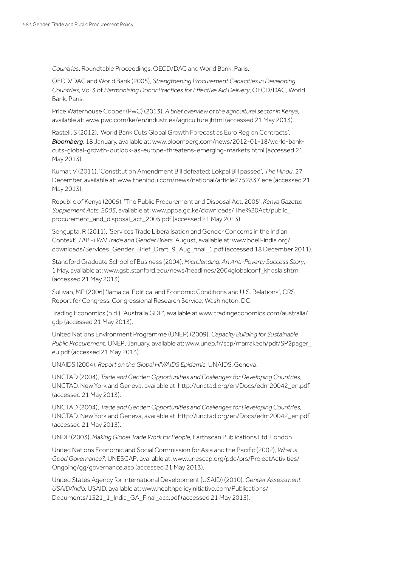*Countries*, Roundtable Proceedings, OECD/DAC and World Bank, Paris.

OECD/DAC and World Bank (2005), *Strengthening Procurement Capacities in Developing Countries*, Vol 3 of *Harmonising Donor Practices for Effective Aid Delivery*, OECD/DAC, World Bank, Paris.

Price Waterhouse Cooper (PwC) (2013), *A brief overview of the agricultural sector in Kenya*, available at: www.pwc.com/ke/en/industries/agriculture.jhtml (accessed 21 May 2013).

Rastell, S (2012), 'World Bank Cuts Global Growth Forecast as Euro Region Contracts', *Bloomberg*, 18 January, available at: www.bloomberg.com/news/2012-01-18/world-bankcuts-global-growth-outlook-as-europe-threatens-emerging-markets.html (accessed 21 May 2013).

Kumar, V (2011), 'Constitution Amendment Bill defeated; Lokpal Bill passed', *The Hindu*, 27 December, available at: www.thehindu.com/news/national/article2752837.ece (accessed 21 May 2013).

Republic of Kenya (2005), 'The Public Procurement and Disposal Act, 2005', *Kenya Gazette Supplement Acts, 2005*, available at: www.ppoa.go.ke/downloads/The%20Act/public\_ procurement\_and\_disposal\_act\_2005.pdf (accessed 21 May 2013).

Sengupta, R (2011), 'Services Trade Liberalisation and Gender Concerns in the Indian Context', *HBF-TWN Trade and Gender Briefs*. August, available at: www.boell-india.org/ downloads/Services\_Gender\_Brief\_Draft\_9\_Aug\_final\_1.pdf (accessed 18 December 2011).

Standford Graduate School of Business (2004), *Microlending: An Anti-Poverty Success Story*, 1 May, available at: www.gsb.stanford.edu/news/headlines/2004globalconf\_khosla.shtml (accessed 21 May 2013).

Sullivan, MP (2006) 'Jamaica: Political and Economic Conditions and U.S. Relations', CRS Report for Congress, Congressional Research Service, Washington, DC.

Trading Economics (n.d.), 'Australia GDP', available at www.tradingeconomics.com/australia/ gdp (accessed 21 May 2013).

United Nations Environment Programme (UNEP) (2009), *Capacity Building for Sustainable Public Procurement*, UNEP, January, available at: www.unep.fr/scp/marrakech/pdf/SP2pager\_ eu.pdf (accessed 21 May 2013).

UNAIDS (2004), *Report on the Global HIV/AIDS Epidemic,* UNAIDS, Geneva.

UNCTAD (2004), *Trade and Gender: Opportunities and Challenges for Developing Countries*, UNCTAD, New York and Geneva, available at: http://unctad.org/en/Docs/edm20042\_en.pdf (accessed 21 May 2013).

UNCTAD (2004), *Trade and Gender: Opportunities and Challenges for Developing Countries*, UNCTAD, New York and Geneva, available at: http://unctad.org/en/Docs/edm20042\_en.pdf (accessed 21 May 2013).

UNDP (2003), *Making Global Trade Work for People*, Earthscan Publications Ltd, London.

United Nations Economic and Social Commission for Asia and the Pacific (2002), *What is Good Governance?*, UNESCAP, available at: www.unescap.org/pdd/prs/ProjectActivities/ Ongoing/gg/governance.asp (accessed 21 May 2013).

United States Agency for International Development (USAID) (2010), *Gender Assessment USAID/India*, USAID, available at: www.healthpolicyinitiative.com/Publications/ Documents/1321\_1\_India\_GA\_Final\_acc.pdf (accessed 21 May 2013).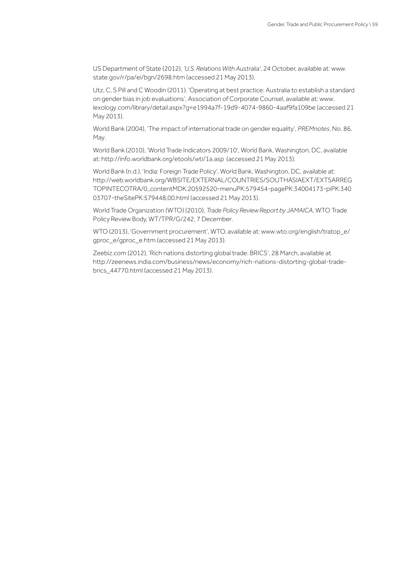US Department of State (2012), *'U.S. Relations With Australia'*, 24 October, available at: www. state.gov/r/pa/ei/bgn/2698.htm (accessed 21 May 2013).

Utz, C, S Pill and C Woodin (2011), 'Operating at best practice: Australia to establish a standard on gender bias in job evaluations', Association of Corporate Counsel, available at: www. lexology.com/library/detail.aspx?g=e1994a7f-19d9-4074-9860-4aaf9fa109be (accessed 21 May 2013).

World Bank (2004), 'The impact of international trade on gender equality', *PREMnotes*, No. 86, May.

World Bank (2010), 'World Trade Indicators 2009/10', World Bank, Washington, DC, available at: http://info.worldbank.org/etools/wti/1a.asp (accessed 21 May 2013).

World Bank (n.d.), 'India: Foreign Trade Policy', World Bank, Washington, DC, available at: http://web.worldbank.org/WBSITE/EXTERNAL/COUNTRIES/SOUTHASIAEXT/EXTSARREG TOPINTECOTRA/0,,contentMDK:20592520~menuPK:579454~pagePK:34004173~piPK:340 03707~theSitePK:579448,00.html (accessed 21 May 2013).

World Trade Organization (WTO) (2010), *Trade Policy Review Report by JAMAICA*, WTO Trade Policy Review Body, WT/TPR/G/242, 7 December.

WTO (2013), 'Government procurement', WTO, available at: www.wto.org/english/tratop\_e/ gproc\_e/gproc\_e.htm (accessed 21 May 2013).

Zeebiz.com (2012), 'Rich nations distorting global trade: BRICS', 28 March, available at http://zeenews.india.com/business/news/economy/rich-nations-distorting-global-tradebrics 44770.html (accessed 21 May 2013).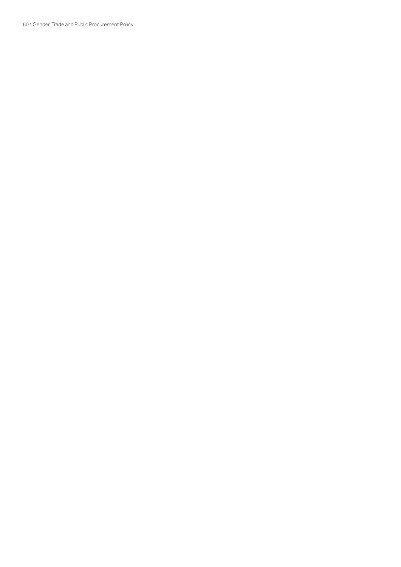60 \ Gender, Trade and Public Procurement Policy